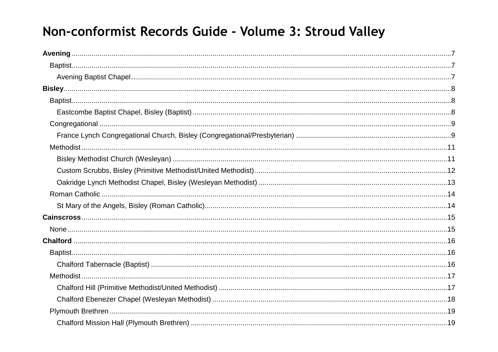# Non-conformist Records Guide - Volume 3: Stroud Valley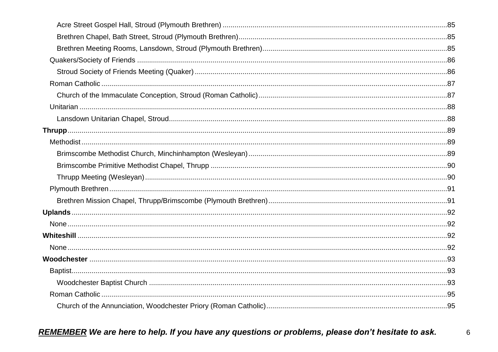$6\phantom{1}6$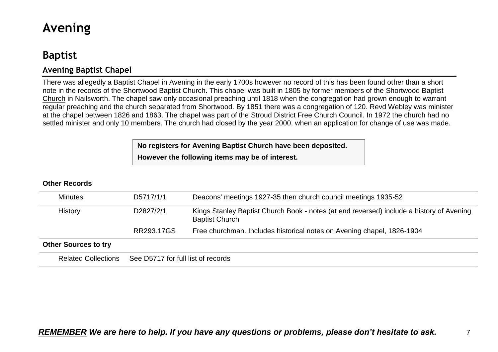# <span id="page-6-0"></span>**Avening**

# <span id="page-6-1"></span>**Baptist**

## <span id="page-6-2"></span>**Avening Baptist Chapel**

There was allegedly a Baptist Chapel in Avening in the early 1700s however no record of this has been found other than a short note in the records of the Shortwood Baptist Church. This chapel was built in 1805 by former members of the Shortwood Baptist Church in Nailsworth. The chapel saw only occasional preaching until 1818 when the congregation had grown enough to warrant regular preaching and the church separated from Shortwood. By 1851 there was a congregation of 120. Revd Webley was minister at the chapel between 1826 and 1863. The chapel was part of the Stroud District Free Church Council. In 1972 the church had no settled minister and only 10 members. The church had closed by the year 2000, when an application for change of use was made.

**No registers for Avening Baptist Church have been deposited.**

**However the following items may be of interest.**

| <b>Minutes</b>              | D5717/1/1                          | Deacons' meetings 1927-35 then church council meetings 1935-52                                                    |  |
|-----------------------------|------------------------------------|-------------------------------------------------------------------------------------------------------------------|--|
| <b>History</b>              | D2827/2/1                          | Kings Stanley Baptist Church Book - notes (at end reversed) include a history of Avening<br><b>Baptist Church</b> |  |
|                             | RR293.17GS                         | Free churchman. Includes historical notes on Avening chapel, 1826-1904                                            |  |
| <b>Other Sources to try</b> |                                    |                                                                                                                   |  |
| <b>Related Collections</b>  | See D5717 for full list of records |                                                                                                                   |  |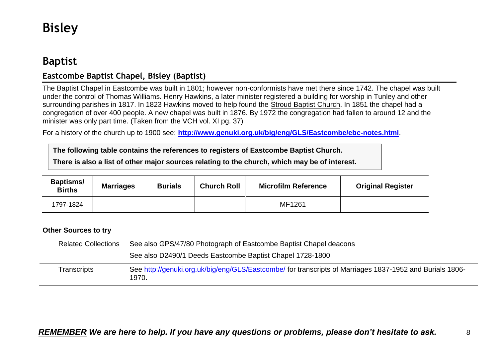# <span id="page-7-0"></span>**Bisley**

# <span id="page-7-1"></span>**Baptist**

## <span id="page-7-2"></span>**Eastcombe Baptist Chapel, Bisley (Baptist)**

The Baptist Chapel in Eastcombe was built in 1801; however non-conformists have met there since 1742. The chapel was built under the control of Thomas Williams. Henry Hawkins, a later minister registered a building for worship in Tunley and other surrounding parishes in 1817. In 1823 Hawkins moved to help found the Stroud Baptist Church. In 1851 the chapel had a congregation of over 400 people. A new chapel was built in 1876. By 1972 the congregation had fallen to around 12 and the minister was only part time. (Taken from the VCH vol. XI pg. 37)

For a history of the church up to 1900 see: **<http://www.genuki.org.uk/big/eng/GLS/Eastcombe/ebc-notes.html>**.

**The following table contains the references to registers of Eastcombe Baptist Church.**

**There is also a list of other major sources relating to the church, which may be of interest.**

| <b>Baptisms/</b><br><b>Births</b> | <b>Marriages</b> | <b>Burials</b> | <b>Church Roll</b> | <b>Microfilm Reference</b> | <b>Original Register</b> |
|-----------------------------------|------------------|----------------|--------------------|----------------------------|--------------------------|
| 1797-1824                         |                  |                |                    | MF1261                     |                          |

#### **Other Sources to try**

| <b>Related Collections</b> | See also GPS/47/80 Photograph of Eastcombe Baptist Chapel deacons                                                 |
|----------------------------|-------------------------------------------------------------------------------------------------------------------|
|                            | See also D2490/1 Deeds Eastcombe Baptist Chapel 1728-1800                                                         |
| Transcripts                | See http://genuki.org.uk/big/eng/GLS/Eastcombe/ for transcripts of Marriages 1837-1952 and Burials 1806-<br>1970. |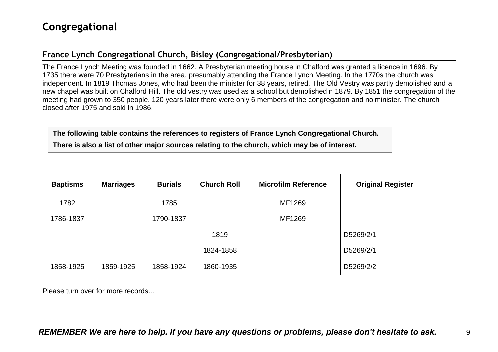# <span id="page-8-0"></span>**Congregational**

### <span id="page-8-1"></span>**France Lynch Congregational Church, Bisley (Congregational/Presbyterian)**

The France Lynch Meeting was founded in 1662. A Presbyterian meeting house in Chalford was granted a licence in 1696. By 1735 there were 70 Presbyterians in the area, presumably attending the France Lynch Meeting. In the 1770s the church was independent. In 1819 Thomas Jones, who had been the minister for 38 years, retired. The Old Vestry was partly demolished and a new chapel was built on Chalford Hill. The old vestry was used as a school but demolished n 1879. By 1851 the congregation of the meeting had grown to 350 people. 120 years later there were only 6 members of the congregation and no minister. The church closed after 1975 and sold in 1986.

**The following table contains the references to registers of France Lynch Congregational Church. There is also a list of other major sources relating to the church, which may be of interest.**

| <b>Baptisms</b> | <b>Marriages</b> | <b>Burials</b> | <b>Church Roll</b> | <b>Microfilm Reference</b> | <b>Original Register</b> |
|-----------------|------------------|----------------|--------------------|----------------------------|--------------------------|
| 1782            |                  | 1785           |                    | MF1269                     |                          |
| 1786-1837       |                  | 1790-1837      |                    | MF1269                     |                          |
|                 |                  |                | 1819               |                            | D5269/2/1                |
|                 |                  |                | 1824-1858          |                            | D5269/2/1                |
| 1858-1925       | 1859-1925        | 1858-1924      | 1860-1935          |                            | D5269/2/2                |

Please turn over for more records...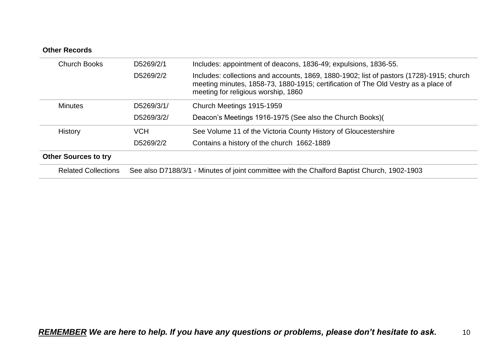| <b>Church Books</b>         | D5269/2/1  | Includes: appointment of deacons, 1836-49; expulsions, 1836-55.                                                                                                                                                       |
|-----------------------------|------------|-----------------------------------------------------------------------------------------------------------------------------------------------------------------------------------------------------------------------|
|                             | D5269/2/2  | Includes: collections and accounts, 1869, 1880-1902; list of pastors (1728)-1915; church<br>meeting minutes, 1858-73, 1880-1915; certification of The Old Vestry as a place of<br>meeting for religious worship, 1860 |
| <b>Minutes</b>              | D5269/3/1/ | Church Meetings 1915-1959                                                                                                                                                                                             |
|                             | D5269/3/2/ | Deacon's Meetings 1916-1975 (See also the Church Books)(                                                                                                                                                              |
| <b>History</b>              | <b>VCH</b> | See Volume 11 of the Victoria County History of Gloucestershire                                                                                                                                                       |
|                             | D5269/2/2  | Contains a history of the church 1662-1889                                                                                                                                                                            |
| <b>Other Sources to try</b> |            |                                                                                                                                                                                                                       |
| <b>Related Collections</b>  |            | See also D7188/3/1 - Minutes of joint committee with the Chalford Baptist Church, 1902-1903                                                                                                                           |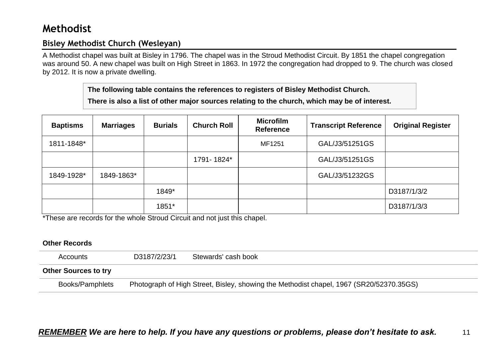# <span id="page-10-0"></span>**Methodist**

### <span id="page-10-1"></span>**Bisley Methodist Church (Wesleyan)**

A Methodist chapel was built at Bisley in 1796. The chapel was in the Stroud Methodist Circuit. By 1851 the chapel congregation was around 50. A new chapel was built on High Street in 1863. In 1972 the congregation had dropped to 9. The church was closed by 2012. It is now a private dwelling.

**The following table contains the references to registers of Bisley Methodist Church.**

**There is also a list of other major sources relating to the church, which may be of interest.**

| <b>Baptisms</b> | <b>Marriages</b> | <b>Burials</b> | <b>Church Roll</b> | <b>Microfilm</b><br><b>Reference</b> | <b>Transcript Reference</b> | <b>Original Register</b> |
|-----------------|------------------|----------------|--------------------|--------------------------------------|-----------------------------|--------------------------|
| 1811-1848*      |                  |                |                    | MF1251                               | GAL/J3/51251GS              |                          |
|                 |                  |                | 1791-1824*         |                                      | GAL/J3/51251GS              |                          |
| 1849-1928*      | 1849-1863*       |                |                    |                                      | GAL/J3/51232GS              |                          |
|                 |                  | 1849*          |                    |                                      |                             | D3187/1/3/2              |
|                 |                  | 1851*          |                    |                                      |                             | D3187/1/3/3              |

\*These are records for the whole Stroud Circuit and not just this chapel.

| Accounts                    | D3187/2/23/1 | Stewards' cash book                                                                     |
|-----------------------------|--------------|-----------------------------------------------------------------------------------------|
| <b>Other Sources to try</b> |              |                                                                                         |
| Books/Pamphlets             |              | Photograph of High Street, Bisley, showing the Methodist chapel, 1967 (SR20/52370.35GS) |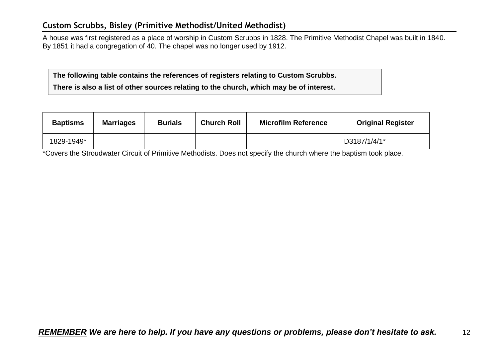### <span id="page-11-0"></span>**Custom Scrubbs, Bisley (Primitive Methodist/United Methodist)**

A house was first registered as a place of worship in Custom Scrubbs in 1828. The Primitive Methodist Chapel was built in 1840. By 1851 it had a congregation of 40. The chapel was no longer used by 1912.

**The following table contains the references of registers relating to Custom Scrubbs. There is also a list of other sources relating to the church, which may be of interest.**

| <b>Baptisms</b> | <b>Marriages</b> | <b>Burials</b> | <b>Church Roll</b> | <b>Microfilm Reference</b> | <b>Original Register</b> |
|-----------------|------------------|----------------|--------------------|----------------------------|--------------------------|
| 1829-1949*      |                  |                |                    |                            | D3187/1/4/1*             |

\*Covers the Stroudwater Circuit of Primitive Methodists. Does not specify the church where the baptism took place.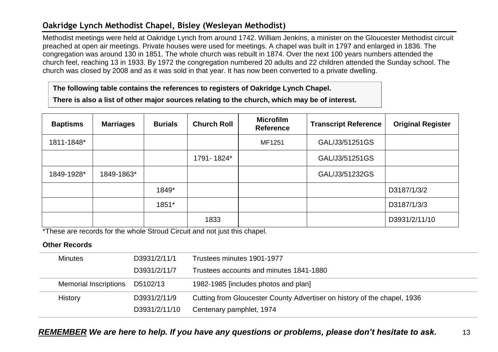### <span id="page-12-0"></span>**Oakridge Lynch Methodist Chapel, Bisley (Wesleyan Methodist)**

Methodist meetings were held at Oakridge Lynch from around 1742. William Jenkins, a minister on the Gloucester Methodist circuit preached at open air meetings. Private houses were used for meetings. A chapel was built in 1797 and enlarged in 1836. The congregation was around 130 in 1851. The whole church was rebuilt in 1874. Over the next 100 years numbers attended the church feel, reaching 13 in 1933. By 1972 the congregation numbered 20 adults and 22 children attended the Sunday school. The church was closed by 2008 and as it was sold in that year. It has now been converted to a private dwelling.

**The following table contains the references to registers of Oakridge Lynch Chapel.**

**There is also a list of other major sources relating to the church, which may be of interest.**

| <b>Baptisms</b> | <b>Marriages</b> | <b>Burials</b> | <b>Church Roll</b> | <b>Microfilm</b><br><b>Reference</b> | <b>Transcript Reference</b> | <b>Original Register</b> |
|-----------------|------------------|----------------|--------------------|--------------------------------------|-----------------------------|--------------------------|
| 1811-1848*      |                  |                |                    | MF1251                               | GAL/J3/51251GS              |                          |
|                 |                  |                | 1791-1824*         |                                      | GAL/J3/51251GS              |                          |
| 1849-1928*      | 1849-1863*       |                |                    |                                      | GAL/J3/51232GS              |                          |
|                 |                  | 1849*          |                    |                                      |                             | D3187/1/3/2              |
|                 |                  | 1851*          |                    |                                      |                             | D3187/1/3/3              |
|                 |                  |                | 1833               |                                      |                             | D3931/2/11/10            |

\*These are records for the whole Stroud Circuit and not just this chapel.

| <b>Minutes</b>               | D3931/2/11/1  | Trustees minutes 1901-1977                                               |
|------------------------------|---------------|--------------------------------------------------------------------------|
|                              | D3931/2/11/7  | Trustees accounts and minutes 1841-1880                                  |
| <b>Memorial Inscriptions</b> | D5102/13      | 1982-1985 [includes photos and plan]                                     |
| <b>History</b>               | D3931/2/11/9  | Cutting from Gloucester County Advertiser on history of the chapel, 1936 |
|                              | D3931/2/11/10 | Centenary pamphlet, 1974                                                 |
|                              |               |                                                                          |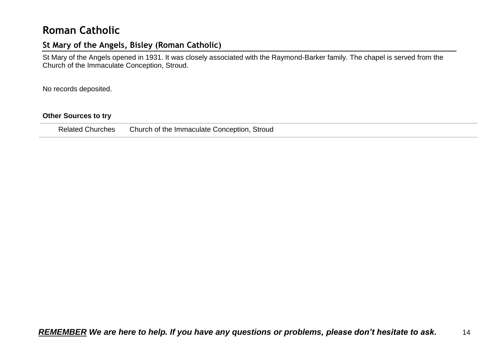# <span id="page-13-0"></span>**Roman Catholic**

### <span id="page-13-1"></span>**St Mary of the Angels, Bisley (Roman Catholic)**

St Mary of the Angels opened in 1931. It was closely associated with the Raymond-Barker family. The chapel is served from the Church of the Immaculate Conception, Stroud.

No records deposited.

#### **Other Sources to try**

Related Churches Church of the Immaculate Conception, Stroud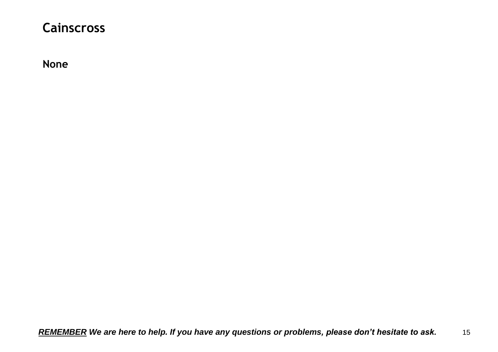# <span id="page-14-0"></span>**Cainscross**

<span id="page-14-1"></span>**None**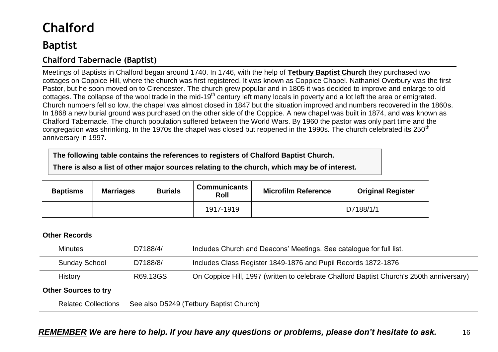# <span id="page-15-0"></span>**Chalford**

# <span id="page-15-1"></span>**Baptist**

## <span id="page-15-2"></span>**Chalford Tabernacle (Baptist)**

Meetings of Baptists in Chalford began around 1740. In 1746, with the help of **Tetbury Baptist Church** they purchased two cottages on Coppice Hill, where the church was first registered. It was known as Coppice Chapel. Nathaniel Overbury was the first Pastor, but he soon moved on to Cirencester. The church grew popular and in 1805 it was decided to improve and enlarge to old cottages. The collapse of the wool trade in the mid-19<sup>th</sup> century left many locals in poverty and a lot left the area or emigrated. Church numbers fell so low, the chapel was almost closed in 1847 but the situation improved and numbers recovered in the 1860s. In 1868 a new burial ground was purchased on the other side of the Coppice. A new chapel was built in 1874, and was known as Chalford Tabernacle. The church population suffered between the World Wars. By 1960 the pastor was only part time and the congregation was shrinking. In the 1970s the chapel was closed but reopened in the 1990s. The church celebrated its 250<sup>th</sup> anniversary in 1997.

**The following table contains the references to registers of Chalford Baptist Church.**

**There is also a list of other major sources relating to the church, which may be of interest.**

| <b>Baptisms</b> | <b>Marriages</b> | <b>Burials</b> | <b>Communicants</b><br>Roll | <b>Microfilm Reference</b> | <b>Original Register</b> |
|-----------------|------------------|----------------|-----------------------------|----------------------------|--------------------------|
|                 |                  |                | 1917-1919                   |                            | D7188/1/1                |

#### **Other Records**

| <b>Minutes</b>       | D7188/4/ | Includes Church and Deacons' Meetings. See catalogue for full list.                      |
|----------------------|----------|------------------------------------------------------------------------------------------|
| <b>Sunday School</b> | D7188/8/ | Includes Class Register 1849-1876 and Pupil Records 1872-1876                            |
| <b>History</b>       | R69.13GS | On Coppice Hill, 1997 (written to celebrate Chalford Baptist Church's 250th anniversary) |
|                      |          |                                                                                          |

#### **Other Sources to try**

Related Collections See also D5249 (Tetbury Baptist Church)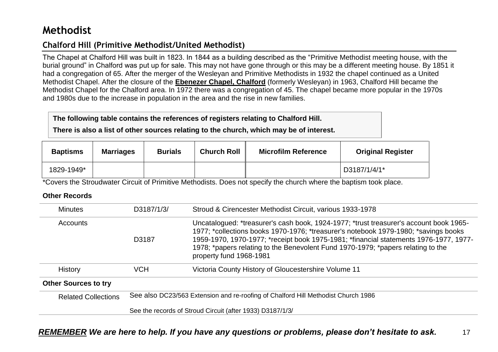# <span id="page-16-0"></span>**Methodist**

## <span id="page-16-1"></span>**Chalford Hill (Primitive Methodist/United Methodist)**

The Chapel at Chalford Hill was built in 1823. In 1844 as a building described as the "Primitive Methodist meeting house, with the burial ground" in Chalford was put up for sale. This may not have gone through or this may be a different meeting house. By 1851 it had a congregation of 65. After the merger of the Wesleyan and Primitive Methodists in 1932 the chapel continued as a United Methodist Chapel. After the closure of the **Ebenezer Chapel, Chalford** (formerly Wesleyan) in 1963, Chalford Hill became the Methodist Chapel for the Chalford area. In 1972 there was a congregation of 45. The chapel became more popular in the 1970s and 1980s due to the increase in population in the area and the rise in new families.

#### **The following table contains the references of registers relating to Chalford Hill.**

**There is also a list of other sources relating to the church, which may be of interest.**

| <b>Baptisms</b> | <b>Marriages</b> | <b>Burials</b> | <b>Church Roll</b> | <b>Microfilm Reference</b> | <b>Original Register</b> |
|-----------------|------------------|----------------|--------------------|----------------------------|--------------------------|
| 1829-1949*      |                  |                |                    |                            | D3187/1/4/1*             |

\*Covers the Stroudwater Circuit of Primitive Methodists. Does not specify the church where the baptism took place.

| <b>Minutes</b>              | D3187/1/3/                                                                        | Stroud & Cirencester Methodist Circuit, various 1933-1978                                                                                                                                                                                                                                                                                                                             |  |  |
|-----------------------------|-----------------------------------------------------------------------------------|---------------------------------------------------------------------------------------------------------------------------------------------------------------------------------------------------------------------------------------------------------------------------------------------------------------------------------------------------------------------------------------|--|--|
| <b>Accounts</b>             | D3187                                                                             | Uncatalogued: *treasurer's cash book, 1924-1977; *trust treasurer's account book 1965-<br>1977; *collections books 1970-1976; *treasurer's notebook 1979-1980; *savings books<br>1959-1970, 1970-1977; *receipt book 1975-1981; *financial statements 1976-1977, 1977-<br>1978; *papers relating to the Benevolent Fund 1970-1979; *papers relating to the<br>property fund 1968-1981 |  |  |
| <b>History</b>              | <b>VCH</b>                                                                        | Victoria County History of Gloucestershire Volume 11                                                                                                                                                                                                                                                                                                                                  |  |  |
| <b>Other Sources to try</b> |                                                                                   |                                                                                                                                                                                                                                                                                                                                                                                       |  |  |
| <b>Related Collections</b>  | See also DC23/563 Extension and re-roofing of Chalford Hill Methodist Church 1986 |                                                                                                                                                                                                                                                                                                                                                                                       |  |  |
|                             | See the records of Stroud Circuit (after 1933) D3187/1/3/                         |                                                                                                                                                                                                                                                                                                                                                                                       |  |  |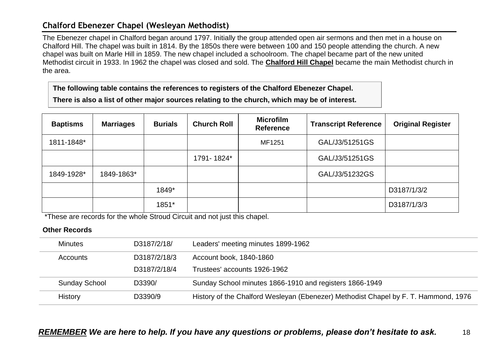## <span id="page-17-0"></span>**Chalford Ebenezer Chapel (Wesleyan Methodist)**

The Ebenezer chapel in Chalford began around 1797. Initially the group attended open air sermons and then met in a house on Chalford Hill. The chapel was built in 1814. By the 1850s there were between 100 and 150 people attending the church. A new chapel was built on Marle Hill in 1859. The new chapel included a schoolroom. The chapel became part of the new united Methodist circuit in 1933. In 1962 the chapel was closed and sold. The **Chalford Hill Chapel** became the main Methodist church in the area.

**The following table contains the references to registers of the Chalford Ebenezer Chapel.**

**There is also a list of other major sources relating to the church, which may be of interest.**

| <b>Baptisms</b> | <b>Marriages</b> | <b>Burials</b> | <b>Church Roll</b> | <b>Microfilm</b><br><b>Reference</b> | <b>Transcript Reference</b> | <b>Original Register</b> |
|-----------------|------------------|----------------|--------------------|--------------------------------------|-----------------------------|--------------------------|
| 1811-1848*      |                  |                |                    | MF1251                               | GAL/J3/51251GS              |                          |
|                 |                  |                | 1791-1824*         |                                      | GAL/J3/51251GS              |                          |
| 1849-1928*      | 1849-1863*       |                |                    |                                      | GAL/J3/51232GS              |                          |
|                 |                  | 1849*          |                    |                                      |                             | D3187/1/3/2              |
|                 |                  | 1851*          |                    |                                      |                             | D3187/1/3/3              |

\*These are records for the whole Stroud Circuit and not just this chapel.

| Minutes              | D3187/2/18/  | Leaders' meeting minutes 1899-1962                                                  |
|----------------------|--------------|-------------------------------------------------------------------------------------|
| <b>Accounts</b>      | D3187/2/18/3 | Account book, 1840-1860                                                             |
|                      | D3187/2/18/4 | Trustees' accounts 1926-1962                                                        |
| <b>Sunday School</b> | D3390/       | Sunday School minutes 1866-1910 and registers 1866-1949                             |
| History              | D3390/9      | History of the Chalford Wesleyan (Ebenezer) Methodist Chapel by F. T. Hammond, 1976 |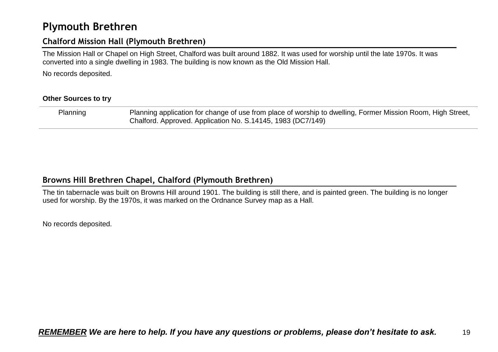# <span id="page-18-0"></span>**Plymouth Brethren**

### <span id="page-18-1"></span>**Chalford Mission Hall (Plymouth Brethren)**

The Mission Hall or Chapel on High Street, Chalford was built around 1882. It was used for worship until the late 1970s. It was converted into a single dwelling in 1983. The building is now known as the Old Mission Hall.

No records deposited.

#### **Other Sources to try**

Planning Planning application for change of use from place of worship to dwelling, Former Mission Room, High Street, Chalford. Approved. Application No. S.14145, 1983 (DC7/149)

### <span id="page-18-2"></span>**Browns Hill Brethren Chapel, Chalford (Plymouth Brethren)**

The tin tabernacle was built on Browns Hill around 1901. The building is still there, and is painted green. The building is no longer used for worship. By the 1970s, it was marked on the Ordnance Survey map as a Hall.

No records deposited.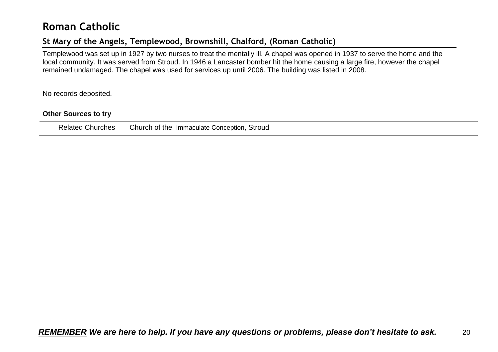# <span id="page-19-0"></span>**Roman Catholic**

## <span id="page-19-1"></span>**St Mary of the Angels, Templewood, Brownshill, Chalford, (Roman Catholic)**

Templewood was set up in 1927 by two nurses to treat the mentally ill. A chapel was opened in 1937 to serve the home and the local community. It was served from Stroud. In 1946 a Lancaster bomber hit the home causing a large fire, however the chapel remained undamaged. The chapel was used for services up until 2006. The building was listed in 2008.

No records deposited.

#### **Other Sources to try**

Related Churches Church of the Immaculate Conception, Stroud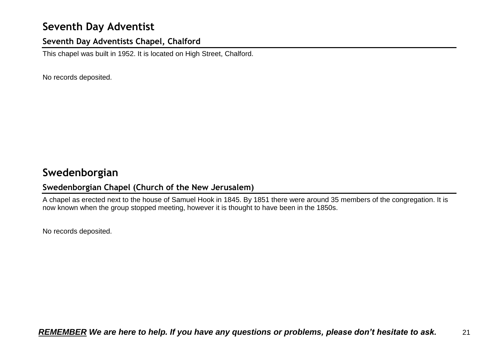# <span id="page-20-0"></span>**Seventh Day Adventist**

### <span id="page-20-1"></span>**Seventh Day Adventists Chapel, Chalford**

This chapel was built in 1952. It is located on High Street, Chalford.

No records deposited.

# <span id="page-20-2"></span>**Swedenborgian**

### <span id="page-20-3"></span>**Swedenborgian Chapel (Church of the New Jerusalem)**

A chapel as erected next to the house of Samuel Hook in 1845. By 1851 there were around 35 members of the congregation. It is now known when the group stopped meeting, however it is thought to have been in the 1850s.

No records deposited.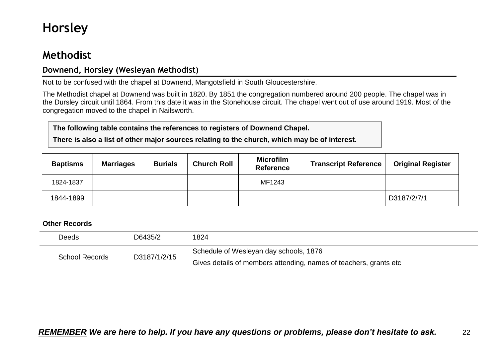# <span id="page-21-0"></span>**Horsley**

# <span id="page-21-1"></span>**Methodist**

### <span id="page-21-2"></span>**Downend, Horsley (Wesleyan Methodist)**

Not to be confused with the chapel at Downend, Mangotsfield in South Gloucestershire.

The Methodist chapel at Downend was built in 1820. By 1851 the congregation numbered around 200 people. The chapel was in the Dursley circuit until 1864. From this date it was in the Stonehouse circuit. The chapel went out of use around 1919. Most of the congregation moved to the chapel in Nailsworth.

#### **The following table contains the references to registers of Downend Chapel.**

**There is also a list of other major sources relating to the church, which may be of interest.**

| <b>Baptisms</b> | <b>Marriages</b> | <b>Burials</b> | <b>Church Roll</b> | <b>Microfilm</b><br><b>Reference</b> | <b>Transcript Reference</b> | <b>Original Register</b> |
|-----------------|------------------|----------------|--------------------|--------------------------------------|-----------------------------|--------------------------|
| 1824-1837       |                  |                |                    | MF1243                               |                             |                          |
| 1844-1899       |                  |                |                    |                                      |                             | D3187/2/7/1              |

| Deeds | D6435/2                               | 1824                                                              |
|-------|---------------------------------------|-------------------------------------------------------------------|
|       | D3187/1/2/15<br><b>School Records</b> | Schedule of Wesleyan day schools, 1876                            |
|       |                                       | Gives details of members attending, names of teachers, grants etc |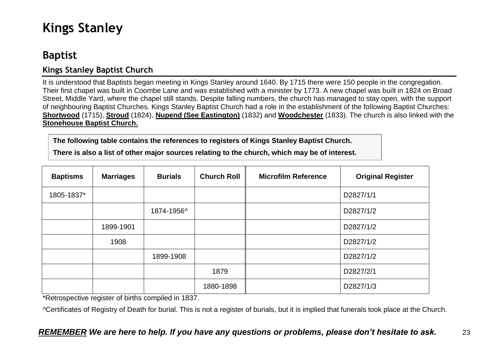# <span id="page-22-0"></span>**Kings Stanley**

# <span id="page-22-1"></span>**Baptist**

## <span id="page-22-2"></span>**Kings Stanley Baptist Church**

It is understood that Baptists began meeting in Kings Stanley around 1640. By 1715 there were 150 people in the congregation. Their first chapel was built in Coombe Lane and was established with a minister by 1773. A new chapel was built in 1824 on Broad Street, Middle Yard, where the chapel still stands. Despite falling numbers, the church has managed to stay open, with the support of neighbouring Baptist Churches. Kings Stanley Baptist Church had a role in the establishment of the following Baptist Churches: **Shortwood** (1715), **Stroud** (1824), **Nupend (See Eastington)** (1832) and **Woodchester** (1833). The church is also linked with the **Stonehouse Baptist Church.** 

**The following table contains the references to registers of Kings Stanley Baptist Church.**

**There is also a list of other major sources relating to the church, which may be of interest.**

| <b>Baptisms</b> | <b>Marriages</b> | <b>Burials</b> | <b>Church Roll</b> | <b>Microfilm Reference</b> | <b>Original Register</b> |
|-----------------|------------------|----------------|--------------------|----------------------------|--------------------------|
| 1805-1837*      |                  |                |                    |                            | D2827/1/1                |
|                 |                  | 1874-1956^     |                    |                            | D2827/1/2                |
|                 | 1899-1901        |                |                    |                            | D2827/1/2                |
|                 | 1908             |                |                    |                            | D2827/1/2                |
|                 |                  | 1899-1908      |                    |                            | D2827/1/2                |
|                 |                  |                | 1879               |                            | D2827/2/1                |
|                 |                  |                | 1880-1898          |                            | D2827/1/3                |

\*Retrospective register of births compiled in 1837.

^Certificates of Registry of Death for burial. This is not a register of burials, but it is implied that funerals took place at the Church.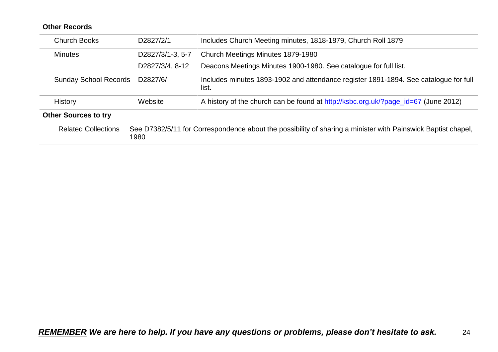| <b>Church Books</b>                                                                                                                                | D2827/2/1        | Includes Church Meeting minutes, 1818-1879, Church Roll 1879                                  |  |  |  |
|----------------------------------------------------------------------------------------------------------------------------------------------------|------------------|-----------------------------------------------------------------------------------------------|--|--|--|
| <b>Minutes</b>                                                                                                                                     | D2827/3/1-3, 5-7 | Church Meetings Minutes 1879-1980                                                             |  |  |  |
|                                                                                                                                                    | D2827/3/4, 8-12  | Deacons Meetings Minutes 1900-1980. See catalogue for full list.                              |  |  |  |
| <b>Sunday School Records</b>                                                                                                                       | D2827/6/         | Includes minutes 1893-1902 and attendance register 1891-1894. See catalogue for full<br>list. |  |  |  |
| History                                                                                                                                            | Website          | A history of the church can be found at http://ksbc.org.uk/?page_id=67 (June 2012)            |  |  |  |
| <b>Other Sources to try</b>                                                                                                                        |                  |                                                                                               |  |  |  |
| See D7382/5/11 for Correspondence about the possibility of sharing a minister with Painswick Baptist chapel,<br><b>Related Collections</b><br>1980 |                  |                                                                                               |  |  |  |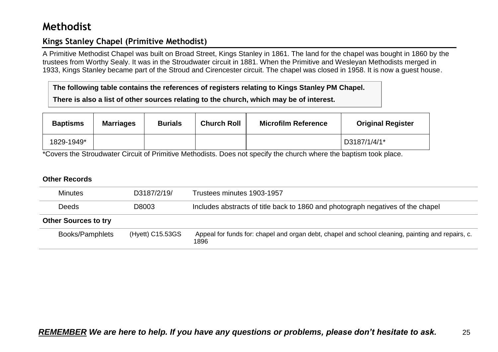# <span id="page-24-0"></span>**Methodist**

## <span id="page-24-1"></span>**Kings Stanley Chapel (Primitive Methodist)**

A Primitive Methodist Chapel was built on Broad Street, Kings Stanley in 1861. The land for the chapel was bought in 1860 by the trustees from Worthy Sealy. It was in the Stroudwater circuit in 1881. When the Primitive and Wesleyan Methodists merged in 1933, Kings Stanley became part of the Stroud and Cirencester circuit. The chapel was closed in 1958. It is now a guest house.

**The following table contains the references of registers relating to Kings Stanley PM Chapel. There is also a list of other sources relating to the church, which may be of interest.**

| <b>Baptisms</b> | <b>Marriages</b> | <b>Burials</b> | <b>Church Roll</b> | <b>Microfilm Reference</b> | <b>Original Register</b> |
|-----------------|------------------|----------------|--------------------|----------------------------|--------------------------|
| 1829-1949*      |                  |                |                    |                            | D3187/1/4/1*             |

\*Covers the Stroudwater Circuit of Primitive Methodists. Does not specify the church where the baptism took place.

| <b>Minutes</b>              | D3187/2/19/      | Trustees minutes 1903-1957                                                                                |  |  |
|-----------------------------|------------------|-----------------------------------------------------------------------------------------------------------|--|--|
| D8003<br><b>Deeds</b>       |                  | Includes abstracts of title back to 1860 and photograph negatives of the chapel                           |  |  |
| <b>Other Sources to try</b> |                  |                                                                                                           |  |  |
| Books/Pamphlets             | (Hyett) C15.53GS | Appeal for funds for: chapel and organ debt, chapel and school cleaning, painting and repairs, c.<br>1896 |  |  |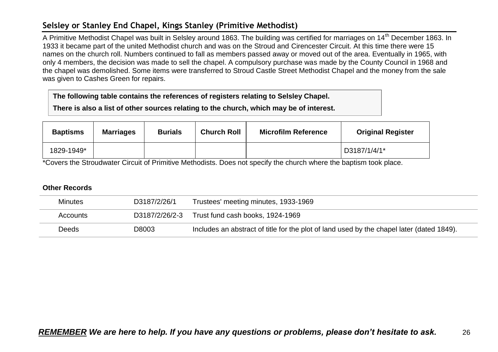### <span id="page-25-0"></span>**Selsley or Stanley End Chapel, Kings Stanley (Primitive Methodist)**

A Primitive Methodist Chapel was built in Selsley around 1863. The building was certified for marriages on 14<sup>th</sup> December 1863. In 1933 it became part of the united Methodist church and was on the Stroud and Cirencester Circuit. At this time there were 15 names on the church roll. Numbers continued to fall as members passed away or moved out of the area. Eventually in 1965, with only 4 members, the decision was made to sell the chapel. A compulsory purchase was made by the County Council in 1968 and the chapel was demolished. Some items were transferred to Stroud Castle Street Methodist Chapel and the money from the sale was given to Cashes Green for repairs.

**The following table contains the references of registers relating to Selsley Chapel.**

**There is also a list of other sources relating to the church, which may be of interest.**

| <b>Baptisms</b> | <b>Marriages</b> | <b>Burials</b> | <b>Church Roll</b> | <b>Microfilm Reference</b> | <b>Original Register</b> |
|-----------------|------------------|----------------|--------------------|----------------------------|--------------------------|
| 1829-1949*      |                  |                |                    |                            | D3187/1/4/1*             |

\*Covers the Stroudwater Circuit of Primitive Methodists. Does not specify the church where the baptism took place.

| <b>Minutes</b> | D3187/2/26/1   | Trustees' meeting minutes, 1933-1969                                                      |
|----------------|----------------|-------------------------------------------------------------------------------------------|
| Accounts       | D3187/2/26/2-3 | Trust fund cash books, 1924-1969                                                          |
| <b>Deeds</b>   | D8003          | Includes an abstract of title for the plot of land used by the chapel later (dated 1849). |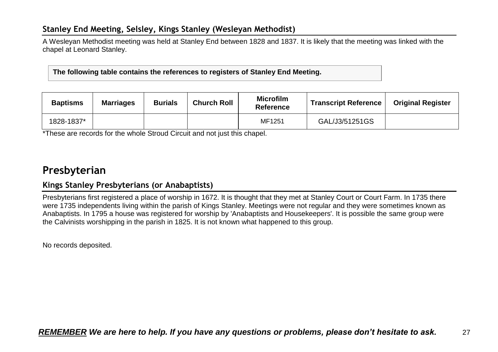## <span id="page-26-0"></span>**Stanley End Meeting, Selsley, Kings Stanley (Wesleyan Methodist)**

A Wesleyan Methodist meeting was held at Stanley End between 1828 and 1837. It is likely that the meeting was linked with the chapel at Leonard Stanley.

**The following table contains the references to registers of Stanley End Meeting.**

| <b>Baptisms</b> | <b>Marriages</b> | <b>Burials</b> | <b>Church Roll</b> | <b>Microfilm</b><br><b>Reference</b> | <b>Transcript Reference</b> | <b>Original Register</b> |
|-----------------|------------------|----------------|--------------------|--------------------------------------|-----------------------------|--------------------------|
| 1828-1837*      |                  |                |                    | MF1251                               | GAL/J3/51251GS              |                          |

\*These are records for the whole Stroud Circuit and not just this chapel.

# <span id="page-26-1"></span>**Presbyterian**

### <span id="page-26-2"></span>**Kings Stanley Presbyterians (or Anabaptists)**

Presbyterians first registered a place of worship in 1672. It is thought that they met at Stanley Court or Court Farm. In 1735 there were 1735 independents living within the parish of Kings Stanley. Meetings were not regular and they were sometimes known as Anabaptists. In 1795 a house was registered for worship by 'Anabaptists and Housekeepers'. It is possible the same group were the Calvinists worshipping in the parish in 1825. It is not known what happened to this group.

No records deposited.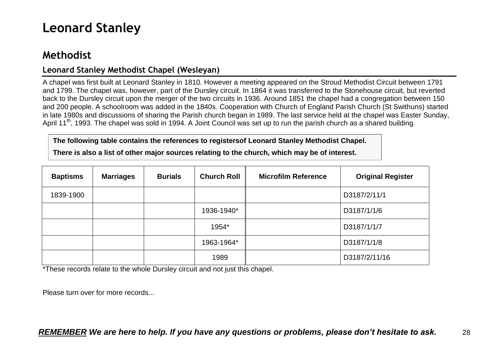# <span id="page-27-0"></span>**Leonard Stanley**

# <span id="page-27-1"></span>**Methodist**

### <span id="page-27-2"></span>**Leonard Stanley Methodist Chapel (Wesleyan)**

A chapel was first built at Leonard Stanley in 1810. However a meeting appeared on the Stroud Methodist Circuit between 1791 and 1799. The chapel was, however, part of the Dursley circuit. In 1864 it was transferred to the Stonehouse circuit, but reverted back to the Dursley circuit upon the merger of the two circuits in 1936. Around 1851 the chapel had a congregation between 150 and 200 people. A schoolroom was added in the 1840s. Cooperation with Church of England Parish Church (St Swithuns) started in late 1980s and discussions of sharing the Parish church began in 1989. The last service held at the chapel was Easter Sunday, April 11<sup>th</sup>, 1993. The chapel was sold in 1994. A Joint Council was set up to run the parish church as a shared building.

**The following table contains the references to registersof Leonard Stanley Methodist Chapel.**

**There is also a list of other major sources relating to the church, which may be of interest.**

| <b>Baptisms</b> | <b>Marriages</b> | <b>Burials</b> | <b>Church Roll</b> | <b>Microfilm Reference</b> | <b>Original Register</b> |
|-----------------|------------------|----------------|--------------------|----------------------------|--------------------------|
| 1839-1900       |                  |                |                    |                            | D3187/2/11/1             |
|                 |                  |                | 1936-1940*         |                            | D3187/1/1/6              |
|                 |                  |                | 1954*              |                            | D3187/1/1/7              |
|                 |                  |                | 1963-1964*         |                            | D3187/1/1/8              |
|                 |                  |                | 1989               |                            | D3187/2/11/16            |

\*These records relate to the whole Dursley circuit and not just this chapel.

Please turn over for more records...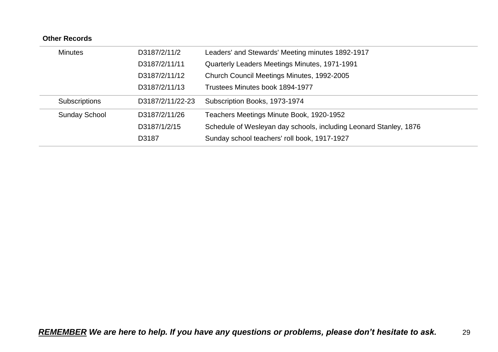| <b>Minutes</b>       | D3187/2/11/2     | Leaders' and Stewards' Meeting minutes 1892-1917                  |
|----------------------|------------------|-------------------------------------------------------------------|
|                      | D3187/2/11/11    | Quarterly Leaders Meetings Minutes, 1971-1991                     |
|                      | D3187/2/11/12    | Church Council Meetings Minutes, 1992-2005                        |
|                      | D3187/2/11/13    | Trustees Minutes book 1894-1977                                   |
| <b>Subscriptions</b> | D3187/2/11/22-23 | Subscription Books, 1973-1974                                     |
| <b>Sunday School</b> | D3187/2/11/26    | Teachers Meetings Minute Book, 1920-1952                          |
|                      | D3187/1/2/15     | Schedule of Wesleyan day schools, including Leonard Stanley, 1876 |
|                      | D3187            | Sunday school teachers' roll book, 1917-1927                      |
|                      |                  |                                                                   |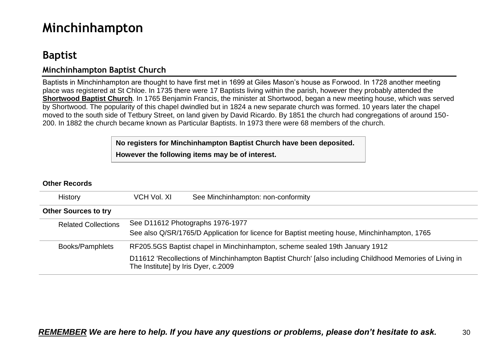# <span id="page-29-0"></span>**Minchinhampton**

# <span id="page-29-1"></span>**Baptist**

### <span id="page-29-2"></span>**Minchinhampton Baptist Church**

Baptists in Minchinhampton are thought to have first met in 1699 at Giles Mason's house as Forwood. In 1728 another meeting place was registered at St Chloe. In 1735 there were 17 Baptists living within the parish, however they probably attended the **Shortwood Baptist Church**. In 1765 Benjamin Francis, the minister at Shortwood, began a new meeting house, which was served by Shortwood. The popularity of this chapel dwindled but in 1824 a new separate church was formed. 10 years later the chapel moved to the south side of Tetbury Street, on land given by David Ricardo. By 1851 the church had congregations of around 150- 200. In 1882 the church became known as Particular Baptists. In 1973 there were 68 members of the church.

> **No registers for Minchinhampton Baptist Church have been deposited. However the following items may be of interest.**

| <b>History</b>              | VCH Vol. XI                                                                 | See Minchinhampton: non-conformity                                                                                               |  |  |  |  |
|-----------------------------|-----------------------------------------------------------------------------|----------------------------------------------------------------------------------------------------------------------------------|--|--|--|--|
| <b>Other Sources to try</b> |                                                                             |                                                                                                                                  |  |  |  |  |
| <b>Related Collections</b>  |                                                                             | See D11612 Photographs 1976-1977<br>See also Q/SR/1765/D Application for licence for Baptist meeting house, Minchinhampton, 1765 |  |  |  |  |
| Books/Pamphlets             | RF205.5GS Baptist chapel in Minchinhampton, scheme sealed 19th January 1912 |                                                                                                                                  |  |  |  |  |
|                             | The Institute] by Iris Dyer, c.2009                                         | D11612 'Recollections of Minchinhampton Baptist Church' [also including Childhood Memories of Living in                          |  |  |  |  |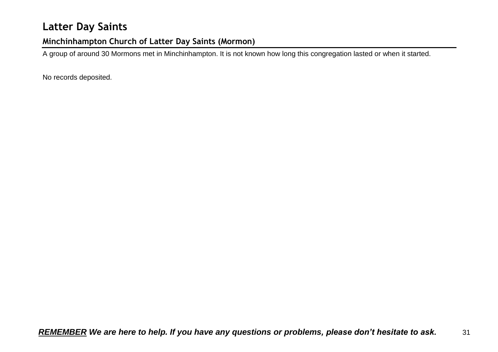# <span id="page-30-0"></span>**Latter Day Saints**

## <span id="page-30-1"></span>**Minchinhampton Church of Latter Day Saints (Mormon)**

A group of around 30 Mormons met in Minchinhampton. It is not known how long this congregation lasted or when it started.

No records deposited.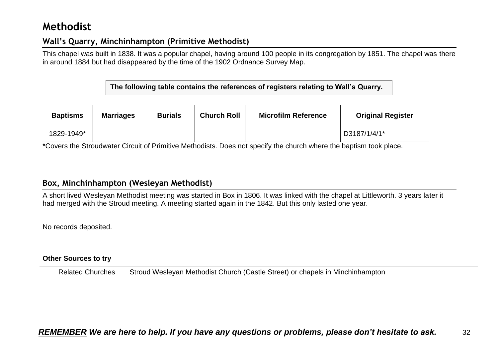# <span id="page-31-0"></span>**Methodist**

### <span id="page-31-1"></span>**Wall's Quarry, Minchinhampton (Primitive Methodist)**

This chapel was built in 1838. It was a popular chapel, having around 100 people in its congregation by 1851. The chapel was there in around 1884 but had disappeared by the time of the 1902 Ordnance Survey Map.

**The following table contains the references of registers relating to Wall's Quarry.**

| <b>Baptisms</b> | <b>Marriages</b> | <b>Burials</b> | <b>Church Roll</b> | <b>Microfilm Reference</b> | <b>Original Register</b> |
|-----------------|------------------|----------------|--------------------|----------------------------|--------------------------|
| 1829-1949*      |                  |                |                    |                            | D3187/1/4/1*             |

\*Covers the Stroudwater Circuit of Primitive Methodists. Does not specify the church where the baptism took place.

### <span id="page-31-2"></span>**Box, Minchinhampton (Wesleyan Methodist)**

A short lived Wesleyan Methodist meeting was started in Box in 1806. It was linked with the chapel at Littleworth. 3 years later it had merged with the Stroud meeting. A meeting started again in the 1842. But this only lasted one year.

No records deposited.

#### **Other Sources to try**

Related Churches Stroud Wesleyan Methodist Church (Castle Street) or chapels in Minchinhampton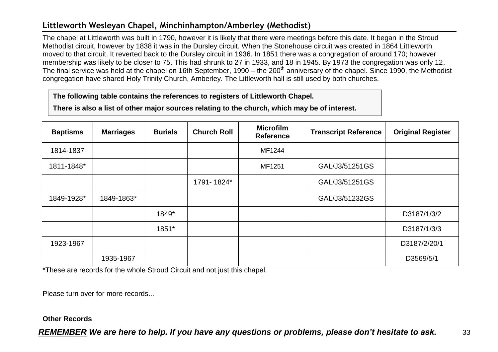## <span id="page-32-0"></span>**Littleworth Wesleyan Chapel, Minchinhampton/Amberley (Methodist)**

The chapel at Littleworth was built in 1790, however it is likely that there were meetings before this date. It began in the Stroud Methodist circuit, however by 1838 it was in the Dursley circuit. When the Stonehouse circuit was created in 1864 Littleworth moved to that circuit. It reverted back to the Dursley circuit in 1936. In 1851 there was a congregation of around 170; however membership was likely to be closer to 75. This had shrunk to 27 in 1933, and 18 in 1945. By 1973 the congregation was only 12. The final service was held at the chapel on 16th September, 1990 – the 200<sup>th</sup> anniversary of the chapel. Since 1990, the Methodist congregation have shared Holy Trinity Church, Amberley. The Littleworth hall is still used by both churches.

#### **The following table contains the references to registers of Littleworth Chapel.**

**There is also a list of other major sources relating to the church, which may be of interest.**

| <b>Baptisms</b> | <b>Marriages</b> | <b>Burials</b> | <b>Church Roll</b> | <b>Microfilm</b><br><b>Reference</b> | <b>Transcript Reference</b> | <b>Original Register</b> |
|-----------------|------------------|----------------|--------------------|--------------------------------------|-----------------------------|--------------------------|
| 1814-1837       |                  |                |                    | MF1244                               |                             |                          |
| 1811-1848*      |                  |                |                    | MF1251                               | GAL/J3/51251GS              |                          |
|                 |                  |                | 1791-1824*         |                                      | GAL/J3/51251GS              |                          |
| 1849-1928*      | 1849-1863*       |                |                    |                                      | GAL/J3/51232GS              |                          |
|                 |                  | 1849*          |                    |                                      |                             | D3187/1/3/2              |
|                 |                  | 1851*          |                    |                                      |                             | D3187/1/3/3              |
| 1923-1967       |                  |                |                    |                                      |                             | D3187/2/20/1             |
|                 | 1935-1967        |                |                    |                                      |                             | D3569/5/1                |

\*These are records for the whole Stroud Circuit and not just this chapel.

Please turn over for more records...

#### **Other Records**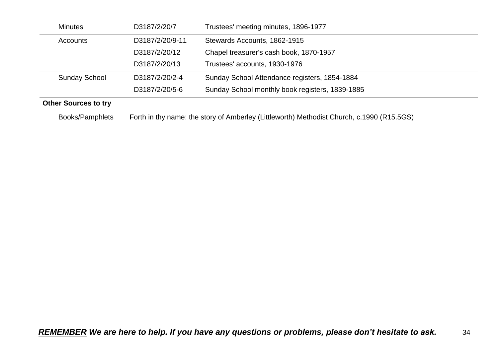| <b>Minutes</b>              | D3187/2/20/7                                                                              | Trustees' meeting minutes, 1896-1977            |
|-----------------------------|-------------------------------------------------------------------------------------------|-------------------------------------------------|
| Accounts                    | D3187/2/20/9-11                                                                           | Stewards Accounts, 1862-1915                    |
|                             | D3187/2/20/12                                                                             | Chapel treasurer's cash book, 1870-1957         |
|                             | D3187/2/20/13                                                                             | Trustees' accounts, 1930-1976                   |
| <b>Sunday School</b>        | D3187/2/20/2-4                                                                            | Sunday School Attendance registers, 1854-1884   |
|                             | D3187/2/20/5-6                                                                            | Sunday School monthly book registers, 1839-1885 |
| <b>Other Sources to try</b> |                                                                                           |                                                 |
| Books/Pamphlets             | Forth in thy name: the story of Amberley (Littleworth) Methodist Church, c.1990 (R15.5GS) |                                                 |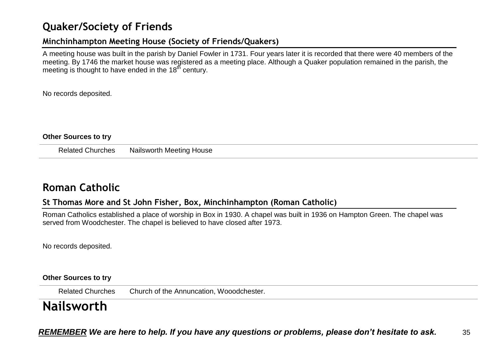# <span id="page-34-0"></span>**Quaker/Society of Friends**

## <span id="page-34-1"></span>**Minchinhampton Meeting House (Society of Friends/Quakers)**

A meeting house was built in the parish by Daniel Fowler in 1731. Four years later it is recorded that there were 40 members of the meeting. By 1746 the market house was registered as a meeting place. Although a Quaker population remained in the parish, the meeting is thought to have ended in the  $18<sup>th</sup>$  century.

No records deposited.

#### **Other Sources to try**

Related Churches Nailsworth Meeting House

## <span id="page-34-2"></span>**Roman Catholic**

### <span id="page-34-3"></span>**St Thomas More and St John Fisher, Box, Minchinhampton (Roman Catholic)**

Roman Catholics established a place of worship in Box in 1930. A chapel was built in 1936 on Hampton Green. The chapel was served from Woodchester. The chapel is believed to have closed after 1973.

No records deposited.

#### **Other Sources to try**

Related Churches Church of the Annuncation, Wooodchester.

# <span id="page-34-4"></span>**Nailsworth**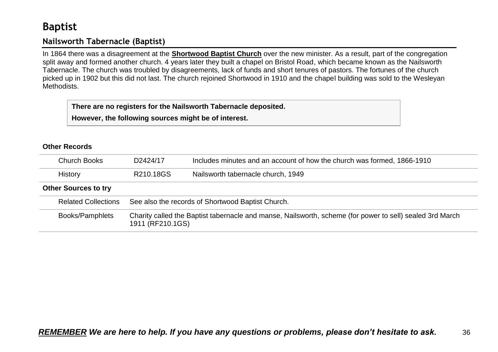# <span id="page-35-0"></span>**Baptist**

## <span id="page-35-1"></span>**Nailsworth Tabernacle (Baptist)**

In 1864 there was a disagreement at the **Shortwood Baptist Church** over the new minister. As a result, part of the congregation split away and formed another church. 4 years later they built a chapel on Bristol Road, which became known as the Nailsworth Tabernacle. The church was troubled by disagreements, lack of funds and short tenures of pastors. The fortunes of the church picked up in 1902 but this did not last. The church rejoined Shortwood in 1910 and the chapel building was sold to the Wesleyan **Methodists** 

**There are no registers for the Nailsworth Tabernacle deposited.**

**However, the following sources might be of interest.**

| <b>Church Books</b>         | D2424/17                                                                                                                     | Includes minutes and an account of how the church was formed, 1866-1910 |
|-----------------------------|------------------------------------------------------------------------------------------------------------------------------|-------------------------------------------------------------------------|
| History                     | R210.18GS                                                                                                                    | Nailsworth tabernacle church, 1949                                      |
| <b>Other Sources to try</b> |                                                                                                                              |                                                                         |
| <b>Related Collections</b>  | See also the records of Shortwood Baptist Church.                                                                            |                                                                         |
| Books/Pamphlets             | Charity called the Baptist tabernacle and manse, Nailsworth, scheme (for power to sell) sealed 3rd March<br>1911 (RF210.1GS) |                                                                         |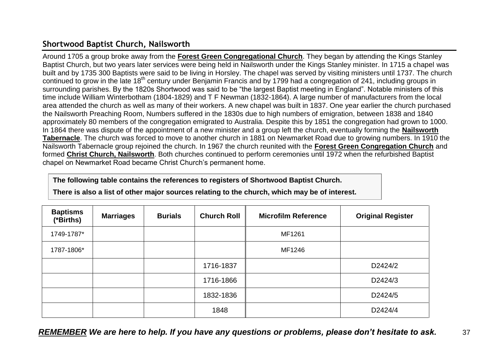## **Shortwood Baptist Church, Nailsworth**

Around 1705 a group broke away from the **Forest Green Congregational Church**. They began by attending the Kings Stanley Baptist Church, but two years later services were being held in Nailsworth under the Kings Stanley minister. In 1715 a chapel was built and by 1735 300 Baptists were said to be living in Horsley. The chapel was served by visiting ministers until 1737. The church continued to grow in the late 18th century under Benjamin Francis and by 1799 had a congregation of 241, including groups in surrounding parishes. By the 1820s Shortwood was said to be "the largest Baptist meeting in England". Notable ministers of this time include William Winterbotham (1804-1829) and T F Newman (1832-1864). A large number of manufacturers from the local area attended the church as well as many of their workers. A new chapel was built in 1837. One year earlier the church purchased the Nailsworth Preaching Room, Numbers suffered in the 1830s due to high numbers of emigration, between 1838 and 1840 approximately 80 members of the congregation emigrated to Australia. Despite this by 1851 the congregation had grown to 1000. In 1864 there was dispute of the appointment of a new minister and a group left the church, eventually forming the **Nailsworth Tabernacle**. The church was forced to move to another church in 1881 on Newmarket Road due to growing numbers. In 1910 the Nailsworth Tabernacle group rejoined the church. In 1967 the church reunited with the **Forest Green Congregation Church** and formed **Christ Church, Nailsworth**. Both churches continued to perform ceremonies until 1972 when the refurbished Baptist chapel on Newmarket Road became Christ Church's permanent home.

### **The following table contains the references to registers of Shortwood Baptist Church.**

**There is also a list of other major sources relating to the church, which may be of interest.**

| <b>Baptisms</b><br>(*Births) | <b>Marriages</b> | <b>Burials</b> | <b>Church Roll</b> | <b>Microfilm Reference</b> | <b>Original Register</b> |
|------------------------------|------------------|----------------|--------------------|----------------------------|--------------------------|
| 1749-1787*                   |                  |                |                    | MF1261                     |                          |
| 1787-1806*                   |                  |                |                    | MF1246                     |                          |
|                              |                  |                | 1716-1837          |                            | D2424/2                  |
|                              |                  |                | 1716-1866          |                            | D2424/3                  |
|                              |                  |                | 1832-1836          |                            | D2424/5                  |
|                              |                  |                | 1848               |                            | D2424/4                  |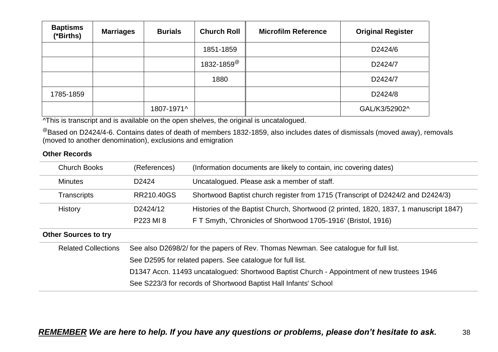| <b>Baptisms</b><br>(*Births) | <b>Marriages</b> | <b>Burials</b> | <b>Church Roll</b>         | <b>Microfilm Reference</b> | <b>Original Register</b> |
|------------------------------|------------------|----------------|----------------------------|----------------------------|--------------------------|
|                              |                  |                | 1851-1859                  |                            | D2424/6                  |
|                              |                  |                | $1832 - 1859^{\circ\circ}$ |                            | D2424/7                  |
|                              |                  |                | 1880                       |                            | D2424/7                  |
| 1785-1859                    |                  |                |                            |                            | D2424/8                  |
|                              |                  | 1807-1971^     |                            |                            | GAL/K3/52902^            |

^This is transcript and is available on the open shelves, the original is uncatalogued.

 $^{\circledR}$ Based on D2424/4-6. Contains dates of death of members 1832-1859, also includes dates of dismissals (moved away), removals (moved to another denomination), exclusions and emigration

| <b>Church Books</b>         | (References)                                                                                | (Information documents are likely to contain, inc covering dates)                     |  |  |  |
|-----------------------------|---------------------------------------------------------------------------------------------|---------------------------------------------------------------------------------------|--|--|--|
| <b>Minutes</b>              | D <sub>2424</sub>                                                                           | Uncatalogued. Please ask a member of staff.                                           |  |  |  |
| <b>Transcripts</b>          | RR210,40GS                                                                                  | Shortwood Baptist church register from 1715 (Transcript of D2424/2 and D2424/3)       |  |  |  |
| History                     | D2424/12                                                                                    | Histories of the Baptist Church, Shortwood (2 printed, 1820, 1837, 1 manuscript 1847) |  |  |  |
|                             | P223 MI 8                                                                                   | F T Smyth, 'Chronicles of Shortwood 1705-1916' (Bristol, 1916)                        |  |  |  |
| <b>Other Sources to try</b> |                                                                                             |                                                                                       |  |  |  |
| <b>Related Collections</b>  |                                                                                             | See also D2698/2/ for the papers of Rev. Thomas Newman. See catalogue for full list.  |  |  |  |
|                             |                                                                                             | See D2595 for related papers. See catalogue for full list.                            |  |  |  |
|                             | D1347 Accn. 11493 uncatalogued: Shortwood Baptist Church - Appointment of new trustees 1946 |                                                                                       |  |  |  |
|                             | See S223/3 for records of Shortwood Baptist Hall Infants' School                            |                                                                                       |  |  |  |
|                             |                                                                                             |                                                                                       |  |  |  |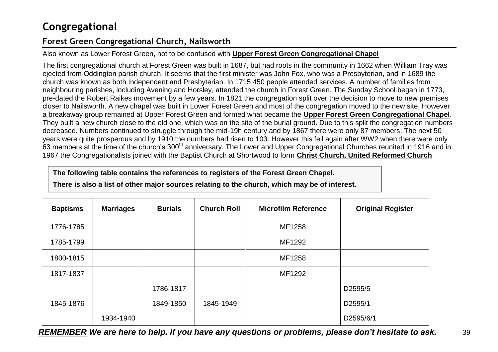## **Congregational**

## **Forest Green Congregational Church, Nailsworth**

### Also known as Lower Forest Green, not to be confused with **Upper Forest Green Congregational Chapel**

The first congregational church at Forest Green was built in 1687, but had roots in the community in 1662 when William Tray was ejected from Oddington parish church. It seems that the first minister was John Fox, who was a Presbyterian, and in 1689 the church was known as both Independent and Presbyterian. In 1715 450 people attended services. A number of families from neighbouring parishes, including Avening and Horsley, attended the church in Forest Green. The Sunday School began in 1773, pre-dated the Robert Raikes movement by a few years. In 1821 the congregation split over the decision to move to new premises closer to Nailsworth. A new chapel was built in Lower Forest Green and most of the congregation moved to the new site. However a breakaway group remained at Upper Forest Green and formed what became the **Upper Forest Green Congregational Chapel**. They built a new church close to the old one, which was on the site of the burial ground. Due to this split the congregation numbers decreased. Numbers continued to struggle through the mid-19h century and by 1867 there were only 87 members. The next 50 years were quite prosperous and by 1910 the numbers had risen to 103. However this fell again after WW2 when there were only 63 members at the time of the church's 300<sup>th</sup> anniversary. The Lower and Upper Congregational Churches reunited in 1916 and in 1967 the Congregationalists joined with the Baptist Church at Shortwood to form **Christ Church, United Reformed Church**

**The following table contains the references to registers of the Forest Green Chapel.**

**There is also a list of other major sources relating to the church, which may be of interest.**

| <b>Baptisms</b> | <b>Marriages</b> | <b>Burials</b> | <b>Church Roll</b> | <b>Microfilm Reference</b> | <b>Original Register</b> |
|-----------------|------------------|----------------|--------------------|----------------------------|--------------------------|
| 1776-1785       |                  |                |                    | MF1258                     |                          |
| 1785-1799       |                  |                |                    | MF1292                     |                          |
| 1800-1815       |                  |                |                    | MF1258                     |                          |
| 1817-1837       |                  |                |                    | MF1292                     |                          |
|                 |                  | 1786-1817      |                    |                            | D2595/5                  |
| 1845-1876       |                  | 1849-1850      | 1845-1949          |                            | D2595/1                  |
|                 | 1934-1940        |                |                    |                            | D2595/6/1                |

*REMEMBER We are here to help. If you have any questions or problems, please don't hesitate to ask.* 39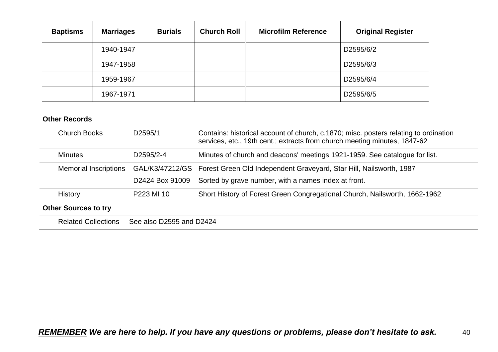| <b>Baptisms</b> | <b>Marriages</b> | <b>Burials</b> | <b>Church Roll</b> | <b>Microfilm Reference</b> | <b>Original Register</b> |
|-----------------|------------------|----------------|--------------------|----------------------------|--------------------------|
|                 | 1940-1947        |                |                    |                            | D2595/6/2                |
|                 | 1947-1958        |                |                    |                            | D2595/6/3                |
|                 | 1959-1967        |                |                    |                            | D2595/6/4                |
|                 | 1967-1971        |                |                    |                            | D2595/6/5                |

| <b>Church Books</b>          | D2595/1                  | Contains: historical account of church, c.1870; misc. posters relating to ordination<br>services, etc., 19th cent.; extracts from church meeting minutes, 1847-62 |
|------------------------------|--------------------------|-------------------------------------------------------------------------------------------------------------------------------------------------------------------|
| <b>Minutes</b>               | D2595/2-4                | Minutes of church and deacons' meetings 1921-1959. See catalogue for list.                                                                                        |
| <b>Memorial Inscriptions</b> |                          | GAL/K3/47212/GS Forest Green Old Independent Graveyard, Star Hill, Nailsworth, 1987                                                                               |
|                              | D2424 Box 91009          | Sorted by grave number, with a names index at front.                                                                                                              |
| <b>History</b>               | P223 MI 10               | Short History of Forest Green Congregational Church, Nailsworth, 1662-1962                                                                                        |
| <b>Other Sources to try</b>  |                          |                                                                                                                                                                   |
| <b>Related Collections</b>   | See also D2595 and D2424 |                                                                                                                                                                   |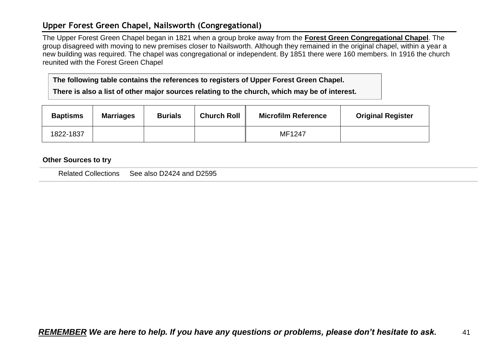### **Upper Forest Green Chapel, Nailsworth (Congregational)**

The Upper Forest Green Chapel began in 1821 when a group broke away from the **Forest Green Congregational Chapel**. The group disagreed with moving to new premises closer to Nailsworth. Although they remained in the original chapel, within a year a new building was required. The chapel was congregational or independent. By 1851 there were 160 members. In 1916 the church reunited with the Forest Green Chapel

**The following table contains the references to registers of Upper Forest Green Chapel.**

**There is also a list of other major sources relating to the church, which may be of interest.**

| <b>Baptisms</b> | <b>Marriages</b> | <b>Burials</b> | <b>Church Roll</b> | <b>Microfilm Reference</b> | <b>Original Register</b> |
|-----------------|------------------|----------------|--------------------|----------------------------|--------------------------|
| 1822-1837       |                  |                |                    | MF1247                     |                          |

#### **Other Sources to try**

Related Collections See also D2424 and D2595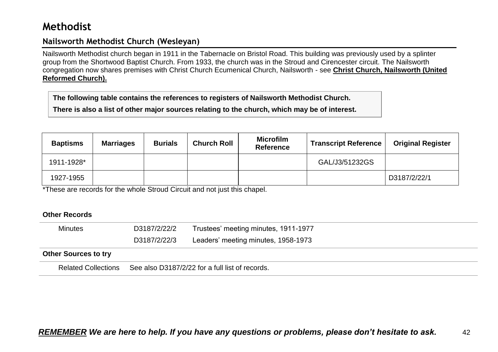## **Methodist**

### **Nailsworth Methodist Church (Wesleyan)**

Nailsworth Methodist church began in 1911 in the Tabernacle on Bristol Road. This building was previously used by a splinter group from the Shortwood Baptist Church. From 1933, the church was in the Stroud and Cirencester circuit. The Nailsworth congregation now shares premises with Christ Church Ecumenical Church, Nailsworth - see **Christ Church, Nailsworth (United Reformed Church).**

**The following table contains the references to registers of Nailsworth Methodist Church.**

**There is also a list of other major sources relating to the church, which may be of interest.**

| <b>Baptisms</b> | <b>Marriages</b> | <b>Burials</b> | <b>Church Roll</b> | <b>Microfilm</b><br><b>Reference</b> | <b>Transcript Reference</b> | <b>Original Register</b> |
|-----------------|------------------|----------------|--------------------|--------------------------------------|-----------------------------|--------------------------|
| 1911-1928*      |                  |                |                    |                                      | GAL/J3/51232GS              |                          |
| 1927-1955       |                  |                |                    |                                      |                             | D3187/2/22/1             |

\*These are records for the whole Stroud Circuit and not just this chapel.

| <b>Minutes</b>              | D3187/2/22/2                                    | Trustees' meeting minutes, 1911-1977 |
|-----------------------------|-------------------------------------------------|--------------------------------------|
|                             | D3187/2/22/3                                    | Leaders' meeting minutes, 1958-1973  |
| <b>Other Sources to try</b> |                                                 |                                      |
| <b>Related Collections</b>  | See also D3187/2/22 for a full list of records. |                                      |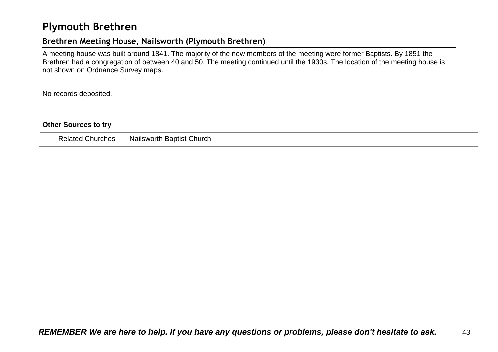## **Plymouth Brethren**

### **Brethren Meeting House, Nailsworth (Plymouth Brethren)**

A meeting house was built around 1841. The majority of the new members of the meeting were former Baptists. By 1851 the Brethren had a congregation of between 40 and 50. The meeting continued until the 1930s. The location of the meeting house is not shown on Ordnance Survey maps.

No records deposited.

#### **Other Sources to try**

Related Churches Nailsworth Baptist Church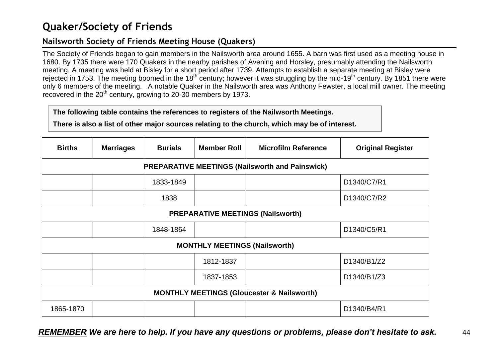## **Quaker/Society of Friends**

## **Nailsworth Society of Friends Meeting House (Quakers)**

The Society of Friends began to gain members in the Nailsworth area around 1655. A barn was first used as a meeting house in 1680. By 1735 there were 170 Quakers in the nearby parishes of Avening and Horsley, presumably attending the Nailsworth meeting. A meeting was held at Bisley for a short period after 1739. Attempts to establish a separate meeting at Bisley were rejected in 1753. The meeting boomed in the 18<sup>th</sup> century; however it was struggling by the mid-19<sup>th</sup> century. By 1851 there were only 6 members of the meeting. A notable Quaker in the Nailsworth area was Anthony Fewster, a local mill owner. The meeting recovered in the 20<sup>th</sup> century, growing to 20-30 members by 1973.

### **The following table contains the references to registers of the Nailwsorth Meetings.**

**There is also a list of other major sources relating to the church, which may be of interest.**

| <b>Births</b>                                         | <b>Marriages</b>                         | <b>Burials</b> | <b>Member Roll</b>                   | <b>Microfilm Reference</b>                             | <b>Original Register</b> |  |
|-------------------------------------------------------|------------------------------------------|----------------|--------------------------------------|--------------------------------------------------------|--------------------------|--|
|                                                       |                                          |                |                                      | <b>PREPARATIVE MEETINGS (Nailsworth and Painswick)</b> |                          |  |
| 1833-1849<br>D1340/C7/R1                              |                                          |                |                                      |                                                        |                          |  |
|                                                       |                                          | 1838           |                                      |                                                        | D1340/C7/R2              |  |
|                                                       | <b>PREPARATIVE MEETINGS (Nailsworth)</b> |                |                                      |                                                        |                          |  |
|                                                       |                                          | 1848-1864      |                                      |                                                        | D1340/C5/R1              |  |
|                                                       |                                          |                | <b>MONTHLY MEETINGS (Nailsworth)</b> |                                                        |                          |  |
|                                                       |                                          |                | 1812-1837                            |                                                        | D1340/B1/Z2              |  |
|                                                       |                                          |                | 1837-1853                            |                                                        | D1340/B1/Z3              |  |
| <b>MONTHLY MEETINGS (Gloucester &amp; Nailsworth)</b> |                                          |                |                                      |                                                        |                          |  |
| 1865-1870                                             |                                          |                |                                      |                                                        | D1340/B4/R1              |  |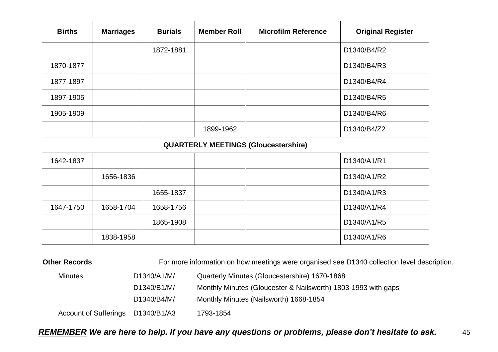| <b>Births</b> | <b>Marriages</b> | <b>Burials</b> | <b>Member Roll</b> | <b>Microfilm Reference</b>                  | <b>Original Register</b> |
|---------------|------------------|----------------|--------------------|---------------------------------------------|--------------------------|
|               |                  | 1872-1881      |                    |                                             | D1340/B4/R2              |
| 1870-1877     |                  |                |                    |                                             | D1340/B4/R3              |
| 1877-1897     |                  |                |                    |                                             | D1340/B4/R4              |
| 1897-1905     |                  |                |                    |                                             | D1340/B4/R5              |
| 1905-1909     |                  |                |                    |                                             | D1340/B4/R6              |
|               |                  |                | 1899-1962          |                                             | D1340/B4/Z2              |
|               |                  |                |                    | <b>QUARTERLY MEETINGS (Gloucestershire)</b> |                          |
| 1642-1837     |                  |                |                    |                                             | D1340/A1/R1              |
|               | 1656-1836        |                |                    |                                             | D1340/A1/R2              |
|               |                  | 1655-1837      |                    |                                             | D1340/A1/R3              |
| 1647-1750     | 1658-1704        | 1658-1756      |                    |                                             | D1340/A1/R4              |
|               |                  | 1865-1908      |                    |                                             | D1340/A1/R5              |
|               | 1838-1958        |                |                    |                                             | D1340/A1/R6              |

| <b>Other Records</b>         |             | For more information on how meetings were organised see D1340 collection level description. |
|------------------------------|-------------|---------------------------------------------------------------------------------------------|
| <b>Minutes</b>               | D1340/A1/M/ | Quarterly Minutes (Gloucestershire) 1670-1868                                               |
|                              | D1340/B1/M/ | Monthly Minutes (Gloucester & Nailsworth) 1803-1993 with gaps                               |
|                              | D1340/B4/M/ | Monthly Minutes (Nailsworth) 1668-1854                                                      |
| <b>Account of Sufferings</b> | D1340/B1/A3 | 1793-1854                                                                                   |

*REMEMBER We are here to help. If you have any questions or problems, please don't hesitate to ask.* 45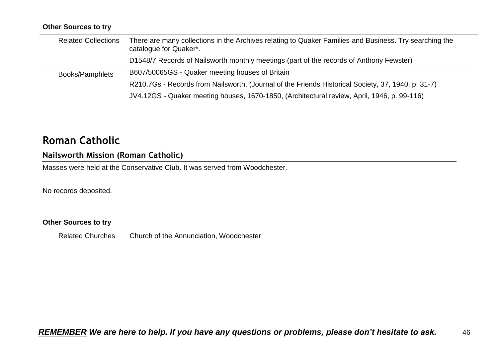#### **Other Sources to try**

| <b>Related Collections</b> | There are many collections in the Archives relating to Quaker Families and Business. Try searching the<br>catalogue for Quaker*. |
|----------------------------|----------------------------------------------------------------------------------------------------------------------------------|
|                            | D1548/7 Records of Nailsworth monthly meetings (part of the records of Anthony Fewster)                                          |
| Books/Pamphlets            | B607/50065GS - Quaker meeting houses of Britain                                                                                  |
|                            | R210.7Gs - Records from Nailsworth, (Journal of the Friends Historical Society, 37, 1940, p. 31-7)                               |
|                            | JV4.12GS - Quaker meeting houses, 1670-1850, (Architectural review, April, 1946, p. 99-116)                                      |

## **Roman Catholic**

### **Nailsworth Mission (Roman Catholic)**

Masses were held at the Conservative Club. It was served from Woodchester.

No records deposited.

### **Other Sources to try**

Related Churches Church of the Annunciation, Woodchester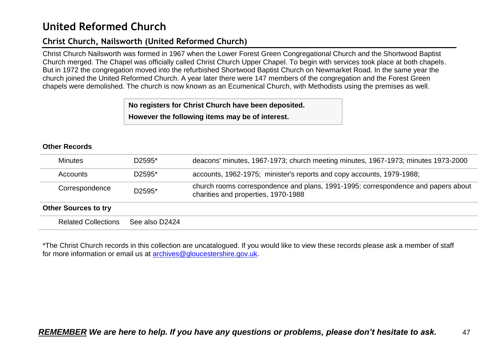## **United Reformed Church**

## **Christ Church, Nailsworth (United Reformed Church)**

Christ Church Nailsworth was formed in 1967 when the Lower Forest Green Congregational Church and the Shortwood Baptist Church merged. The Chapel was officially called Christ Church Upper Chapel. To begin with services took place at both chapels. But in 1972 the congregation moved into the refurbished Shortwood Baptist Church on Newmarket Road. In the same year the church joined the United Reformed Church. A year later there were 147 members of the congregation and the Forest Green chapels were demolished. The church is now known as an Ecumenical Church, with Methodists using the premises as well.

> **No registers for Christ Church have been deposited. However the following items may be of interest.**

#### **Other Records**

| $D2595*$<br><b>Minutes</b>  |                | deacons' minutes, 1967-1973; church meeting minutes, 1967-1973; minutes 1973-2000                                        |
|-----------------------------|----------------|--------------------------------------------------------------------------------------------------------------------------|
| D2595*<br>Accounts          |                | accounts, 1962-1975; minister's reports and copy accounts, 1979-1988;                                                    |
| Correspondence              | D2595*         | church rooms correspondence and plans, 1991-1995; correspondence and papers about<br>charities and properties, 1970-1988 |
| <b>Other Sources to try</b> |                |                                                                                                                          |
| <b>Related Collections</b>  | See also D2424 |                                                                                                                          |

\*The Christ Church records in this collection are uncatalogued. If you would like to view these records please ask a member of staff for more information or email us at [archives@gloucestershire.gov.uk.](mailto:archives@gloucestershire.gov.uk)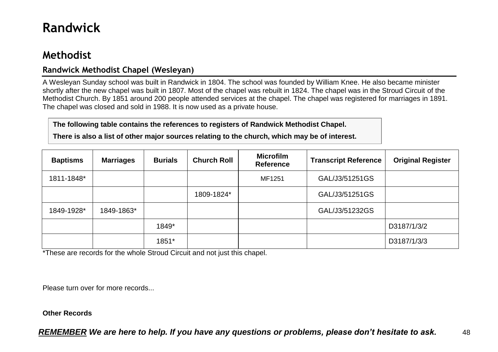# **Randwick**

## **Methodist**

## **Randwick Methodist Chapel (Wesleyan)**

A Wesleyan Sunday school was built in Randwick in 1804. The school was founded by William Knee. He also became minister shortly after the new chapel was built in 1807. Most of the chapel was rebuilt in 1824. The chapel was in the Stroud Circuit of the Methodist Church. By 1851 around 200 people attended services at the chapel. The chapel was registered for marriages in 1891. The chapel was closed and sold in 1988. It is now used as a private house.

**The following table contains the references to registers of Randwick Methodist Chapel.**

**There is also a list of other major sources relating to the church, which may be of interest.**

| <b>Baptisms</b> | <b>Marriages</b> | <b>Burials</b> | <b>Church Roll</b> | <b>Microfilm</b><br><b>Reference</b> | <b>Transcript Reference</b> | <b>Original Register</b> |
|-----------------|------------------|----------------|--------------------|--------------------------------------|-----------------------------|--------------------------|
| 1811-1848*      |                  |                |                    | MF1251                               | GAL/J3/51251GS              |                          |
|                 |                  |                | 1809-1824*         |                                      | GAL/J3/51251GS              |                          |
| 1849-1928*      | 1849-1863*       |                |                    |                                      | GAL/J3/51232GS              |                          |
|                 |                  | 1849*          |                    |                                      |                             | D3187/1/3/2              |
|                 |                  | 1851*          |                    |                                      |                             | D3187/1/3/3              |

\*These are records for the whole Stroud Circuit and not just this chapel.

Please turn over for more records...

#### **Other Records**

*REMEMBER We are here to help. If you have any questions or problems, please don't hesitate to ask.* 48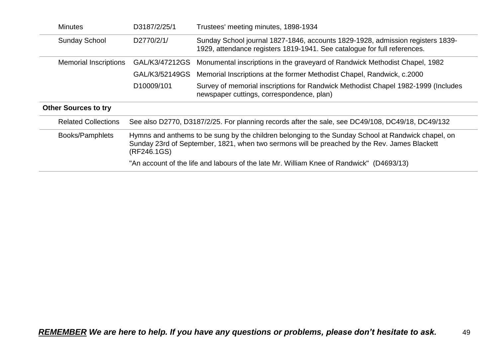| <b>Minutes</b>                     | D3187/2/25/1                                                                                                                                                                                                      | Trustees' meeting minutes, 1898-1934                                                                                                                       |  |  |
|------------------------------------|-------------------------------------------------------------------------------------------------------------------------------------------------------------------------------------------------------------------|------------------------------------------------------------------------------------------------------------------------------------------------------------|--|--|
| <b>Sunday School</b><br>D2770/2/1/ |                                                                                                                                                                                                                   | Sunday School journal 1827-1846, accounts 1829-1928, admission registers 1839-<br>1929, attendance registers 1819-1941. See catalogue for full references. |  |  |
| <b>Memorial Inscriptions</b>       | GAL/K3/47212GS                                                                                                                                                                                                    | Monumental inscriptions in the graveyard of Randwick Methodist Chapel, 1982                                                                                |  |  |
|                                    | GAL/K3/52149GS                                                                                                                                                                                                    | Memorial Inscriptions at the former Methodist Chapel, Randwick, c.2000                                                                                     |  |  |
|                                    | D10009/101                                                                                                                                                                                                        | Survey of memorial inscriptions for Randwick Methodist Chapel 1982-1999 (Includes<br>newspaper cuttings, correspondence, plan)                             |  |  |
| <b>Other Sources to try</b>        |                                                                                                                                                                                                                   |                                                                                                                                                            |  |  |
| <b>Related Collections</b>         | See also D2770, D3187/2/25. For planning records after the sale, see DC49/108, DC49/18, DC49/132                                                                                                                  |                                                                                                                                                            |  |  |
| Books/Pamphlets                    | Hymns and anthems to be sung by the children belonging to the Sunday School at Randwick chapel, on<br>Sunday 23rd of September, 1821, when two sermons will be preached by the Rev. James Blackett<br>(RF246.1GS) |                                                                                                                                                            |  |  |
|                                    |                                                                                                                                                                                                                   | "An account of the life and labours of the late Mr. William Knee of Randwick" (D4693/13)                                                                   |  |  |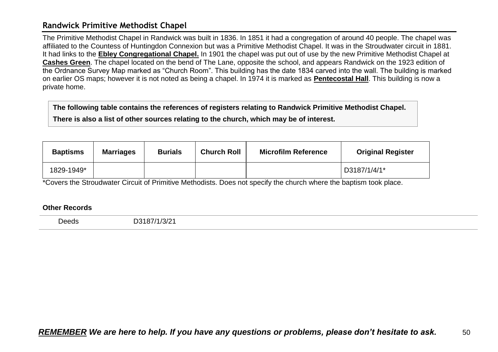### **Randwick Primitive Methodist Chapel**

The Primitive Methodist Chapel in Randwick was built in 1836. In 1851 it had a congregation of around 40 people. The chapel was affiliated to the Countess of Huntingdon Connexion but was a Primitive Methodist Chapel. It was in the Stroudwater circuit in 1881. It had links to the **Ebley Congregational Chapel.** In 1901 the chapel was put out of use by the new Primitive Methodist Chapel at **Cashes Green**. The chapel located on the bend of The Lane, opposite the school, and appears Randwick on the 1923 edition of the Ordnance Survey Map marked as "Church Room". This building has the date 1834 carved into the wall. The building is marked on earlier OS maps; however it is not noted as being a chapel. In 1974 it is marked as **Pentecostal Hall**. This building is now a private home.

**The following table contains the references of registers relating to Randwick Primitive Methodist Chapel. There is also a list of other sources relating to the church, which may be of interest.**

| <b>Baptisms</b> | <b>Marriages</b> | <b>Burials</b> | <b>Church Roll</b> | <b>Microfilm Reference</b> | <b>Original Register</b> |
|-----------------|------------------|----------------|--------------------|----------------------------|--------------------------|
| 1829-1949*      |                  |                |                    |                            | D3187/1/4/1*             |

\*Covers the Stroudwater Circuit of Primitive Methodists. Does not specify the church where the baptism took place.

#### **Other Records**

Deeds D3187/1/3/21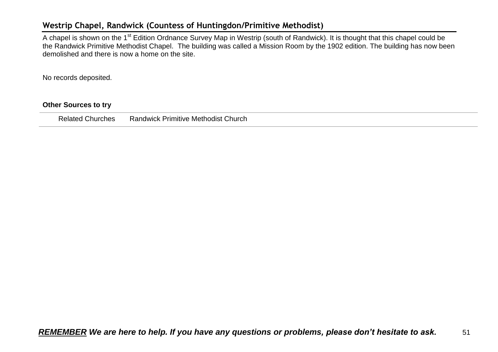### **Westrip Chapel, Randwick (Countess of Huntingdon/Primitive Methodist)**

A chapel is shown on the 1<sup>st</sup> Edition Ordnance Survey Map in Westrip (south of Randwick). It is thought that this chapel could be the Randwick Primitive Methodist Chapel. The building was called a Mission Room by the 1902 edition. The building has now been demolished and there is now a home on the site.

No records deposited.

#### **Other Sources to try**

Related Churches Randwick Primitive Methodist Church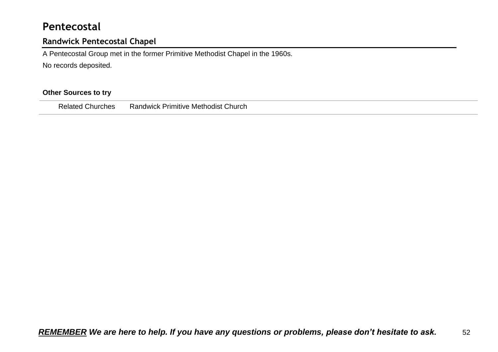## **Pentecostal**

## **Randwick Pentecostal Chapel**

A Pentecostal Group met in the former Primitive Methodist Chapel in the 1960s.

No records deposited.

### **Other Sources to try**

|--|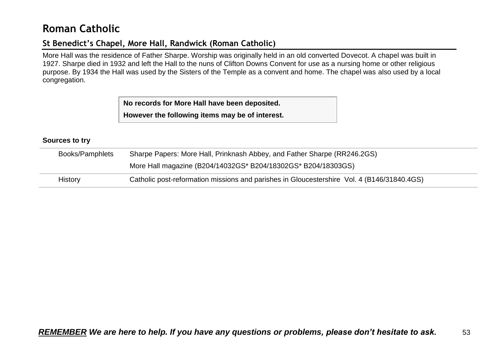## **Roman Catholic**

## **St Benedict's Chapel, More Hall, Randwick (Roman Catholic)**

More Hall was the residence of Father Sharpe. Worship was originally held in an old converted Dovecot. A chapel was built in 1927. Sharpe died in 1932 and left the Hall to the nuns of Clifton Downs Convent for use as a nursing home or other religious purpose. By 1934 the Hall was used by the Sisters of the Temple as a convent and home. The chapel was also used by a local congregation.

> **No records for More Hall have been deposited. However the following items may be of interest.**

#### **Sources to try**

| Books/Pamphlets | Sharpe Papers: More Hall, Prinknash Abbey, and Father Sharpe (RR246.2GS)                   |  |  |  |
|-----------------|--------------------------------------------------------------------------------------------|--|--|--|
|                 | More Hall magazine (B204/14032GS* B204/18302GS* B204/18303GS)                              |  |  |  |
| <b>History</b>  | Catholic post-reformation missions and parishes in Gloucestershire Vol. 4 (B146/31840.4GS) |  |  |  |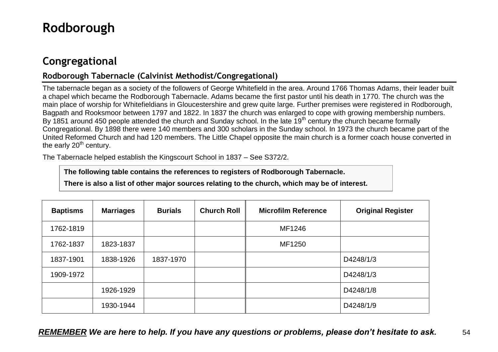# **Rodborough**

## **Congregational**

## **Rodborough Tabernacle (Calvinist Methodist/Congregational)**

The tabernacle began as a society of the followers of George Whitefield in the area. Around 1766 Thomas Adams, their leader built a chapel which became the Rodborough Tabernacle. Adams became the first pastor until his death in 1770. The church was the main place of worship for Whitefieldians in Gloucestershire and grew quite large. Further premises were registered in Rodborough, Bagpath and Rooksmoor between 1797 and 1822. In 1837 the church was enlarged to cope with growing membership numbers. By 1851 around 450 people attended the church and Sunday school. In the late 19<sup>th</sup> century the church became formally Congregational. By 1898 there were 140 members and 300 scholars in the Sunday school. In 1973 the church became part of the United Reformed Church and had 120 members. The Little Chapel opposite the main church is a former coach house converted in the early 20<sup>th</sup> century.

The Tabernacle helped establish the Kingscourt School in 1837 – See S372/2.

**The following table contains the references to registers of Rodborough Tabernacle.**

**There is also a list of other major sources relating to the church, which may be of interest.**

| <b>Baptisms</b> | <b>Marriages</b> | <b>Burials</b> | <b>Church Roll</b> | <b>Microfilm Reference</b> | <b>Original Register</b> |
|-----------------|------------------|----------------|--------------------|----------------------------|--------------------------|
| 1762-1819       |                  |                |                    | MF1246                     |                          |
| 1762-1837       | 1823-1837        |                |                    | MF1250                     |                          |
| 1837-1901       | 1838-1926        | 1837-1970      |                    |                            | D4248/1/3                |
| 1909-1972       |                  |                |                    |                            | D4248/1/3                |
|                 | 1926-1929        |                |                    |                            | D4248/1/8                |
|                 | 1930-1944        |                |                    |                            | D4248/1/9                |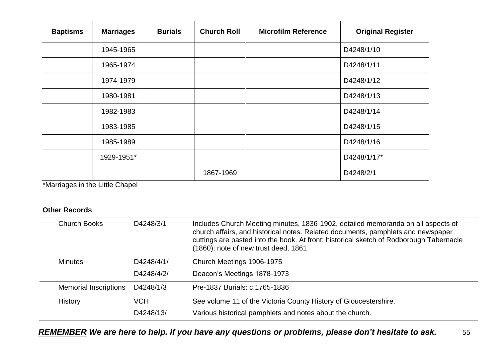| <b>Baptisms</b> | <b>Marriages</b> | <b>Burials</b> | <b>Church Roll</b> | <b>Microfilm Reference</b> | <b>Original Register</b> |
|-----------------|------------------|----------------|--------------------|----------------------------|--------------------------|
|                 | 1945-1965        |                |                    |                            | D4248/1/10               |
|                 | 1965-1974        |                |                    |                            | D4248/1/11               |
|                 | 1974-1979        |                |                    |                            | D4248/1/12               |
|                 | 1980-1981        |                |                    |                            | D4248/1/13               |
|                 | 1982-1983        |                |                    |                            | D4248/1/14               |
|                 | 1983-1985        |                |                    |                            | D4248/1/15               |
|                 | 1985-1989        |                |                    |                            | D4248/1/16               |
|                 | 1929-1951*       |                |                    |                            | D4248/1/17*              |
|                 |                  |                | 1867-1969          |                            | D4248/2/1                |

\*Marriages in the Little Chapel

| <b>Church Books</b>          | D4248/3/1  | Includes Church Meeting minutes, 1836-1902, detailed memoranda on all aspects of<br>church affairs, and historical notes. Related documents, pamphlets and newspaper<br>cuttings are pasted into the book. At front: historical sketch of Rodborough Tabernacle<br>(1860); note of new trust deed, 1861 |
|------------------------------|------------|---------------------------------------------------------------------------------------------------------------------------------------------------------------------------------------------------------------------------------------------------------------------------------------------------------|
| <b>Minutes</b>               | D4248/4/1/ | Church Meetings 1906-1975                                                                                                                                                                                                                                                                               |
|                              | D4248/4/2/ | Deacon's Meetings 1878-1973                                                                                                                                                                                                                                                                             |
| <b>Memorial Inscriptions</b> | D4248/1/3  | Pre-1837 Burials: c.1765-1836                                                                                                                                                                                                                                                                           |
| <b>History</b>               | <b>VCH</b> | See volume 11 of the Victoria County History of Gloucestershire.                                                                                                                                                                                                                                        |
|                              | D4248/13/  | Various historical pamphlets and notes about the church.                                                                                                                                                                                                                                                |
|                              |            |                                                                                                                                                                                                                                                                                                         |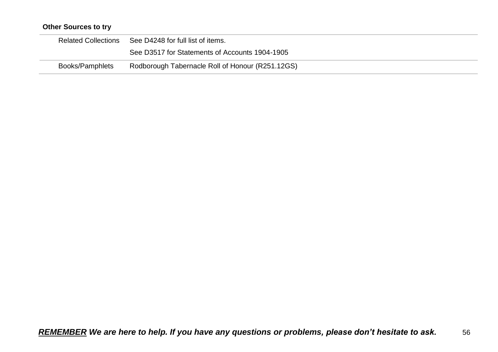## **Other Sources to try**

| <b>Related Collections</b> | See D4248 for full list of items.                |
|----------------------------|--------------------------------------------------|
|                            | See D3517 for Statements of Accounts 1904-1905   |
| Books/Pamphlets            | Rodborough Tabernacle Roll of Honour (R251.12GS) |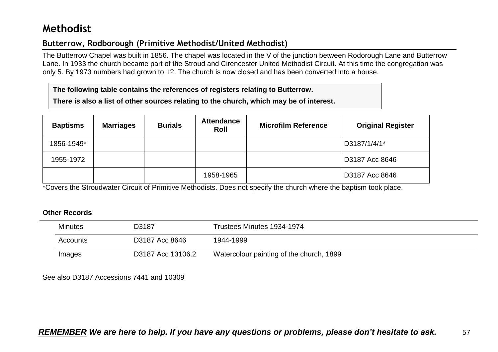## **Methodist**

## **Butterrow, Rodborough (Primitive Methodist/United Methodist)**

The Butterrow Chapel was built in 1856. The chapel was located in the V of the junction between Rodorough Lane and Butterrow Lane. In 1933 the church became part of the Stroud and Cirencester United Methodist Circuit. At this time the congregation was only 5. By 1973 numbers had grown to 12. The church is now closed and has been converted into a house.

**The following table contains the references of registers relating to Butterrow.**

**There is also a list of other sources relating to the church, which may be of interest.**

| <b>Baptisms</b> | <b>Marriages</b> | <b>Burials</b> | <b>Attendance</b><br>Roll | <b>Microfilm Reference</b> | <b>Original Register</b> |
|-----------------|------------------|----------------|---------------------------|----------------------------|--------------------------|
| 1856-1949*      |                  |                |                           |                            | D3187/1/4/1*             |
| 1955-1972       |                  |                |                           |                            | D3187 Acc 8646           |
|                 |                  |                | 1958-1965                 |                            | D3187 Acc 8646           |

\*Covers the Stroudwater Circuit of Primitive Methodists. Does not specify the church where the baptism took place.

#### **Other Records**

| <b>Minutes</b> | D3187             | Trustees Minutes 1934-1974               |  |
|----------------|-------------------|------------------------------------------|--|
| Accounts       | D3187 Acc 8646    | 1944-1999                                |  |
| Images         | D3187 Acc 13106.2 | Watercolour painting of the church, 1899 |  |

See also D3187 Accessions 7441 and 10309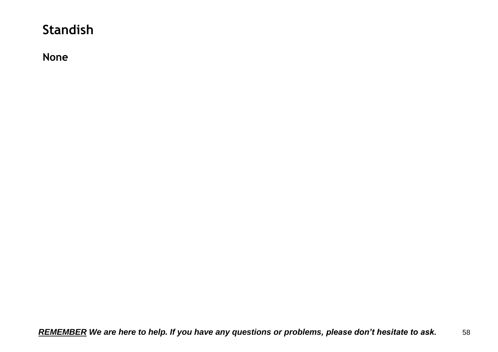# **Standish**

**None**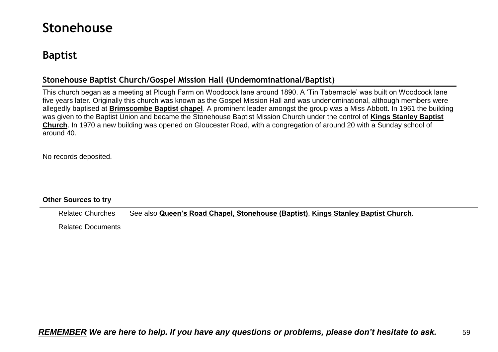# **Stonehouse**

## **Baptist**

## **Stonehouse Baptist Church/Gospel Mission Hall (Undemominational/Baptist)**

This church began as a meeting at Plough Farm on Woodcock lane around 1890. A 'Tin Tabernacle' was built on Woodcock lane five years later. Originally this church was known as the Gospel Mission Hall and was undenominational, although members were allegedly baptised at **Brimscombe Baptist chapel**. A prominent leader amongst the group was a Miss Abbott. In 1961 the building was given to the Baptist Union and became the Stonehouse Baptist Mission Church under the control of **Kings Stanley Baptist Church**. In 1970 a new building was opened on Gloucester Road, with a congregation of around 20 with a Sunday school of around 40.

No records deposited.

#### **Other Sources to try**

Related Churches See also **Queen's Road Chapel, Stonehouse (Baptist)**, **Kings Stanley Baptist Church**. Related Documents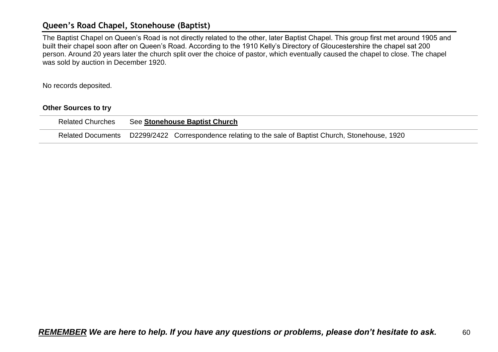### **Queen's Road Chapel, Stonehouse (Baptist)**

The Baptist Chapel on Queen's Road is not directly related to the other, later Baptist Chapel. This group first met around 1905 and built their chapel soon after on Queen's Road. According to the 1910 Kelly's Directory of Gloucestershire the chapel sat 200 person. Around 20 years later the church split over the choice of pastor, which eventually caused the chapel to close. The chapel was sold by auction in December 1920.

No records deposited.

#### **Other Sources to try**

| <b>Related Churches</b> | See Stonehouse Baptist Church                                                                        |
|-------------------------|------------------------------------------------------------------------------------------------------|
|                         | Related Documents D2299/2422 Correspondence relating to the sale of Baptist Church, Stonehouse, 1920 |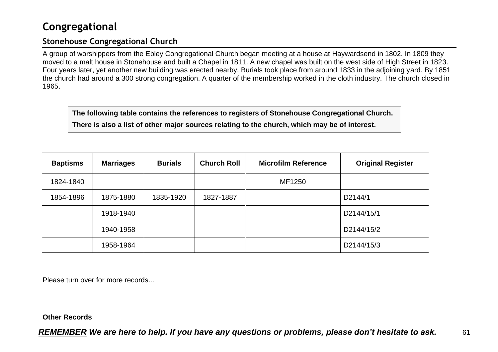## **Congregational**

### **Stonehouse Congregational Church**

A group of worshippers from the Ebley Congregational Church began meeting at a house at Haywardsend in 1802. In 1809 they moved to a malt house in Stonehouse and built a Chapel in 1811. A new chapel was built on the west side of High Street in 1823. Four years later, yet another new building was erected nearby. Burials took place from around 1833 in the adjoining yard. By 1851 the church had around a 300 strong congregation. A quarter of the membership worked in the cloth industry. The church closed in 1965.

**The following table contains the references to registers of Stonehouse Congregational Church. There is also a list of other major sources relating to the church, which may be of interest.**

| <b>Baptisms</b> | <b>Marriages</b> | <b>Burials</b> | <b>Church Roll</b> | <b>Microfilm Reference</b> | <b>Original Register</b> |
|-----------------|------------------|----------------|--------------------|----------------------------|--------------------------|
| 1824-1840       |                  |                |                    | MF1250                     |                          |
| 1854-1896       | 1875-1880        | 1835-1920      | 1827-1887          |                            | D2144/1                  |
|                 | 1918-1940        |                |                    |                            | D2144/15/1               |
|                 | 1940-1958        |                |                    |                            | D2144/15/2               |
|                 | 1958-1964        |                |                    |                            | D2144/15/3               |

Please turn over for more records...

#### **Other Records**

*REMEMBER We are here to help. If you have any questions or problems, please don't hesitate to ask.* 61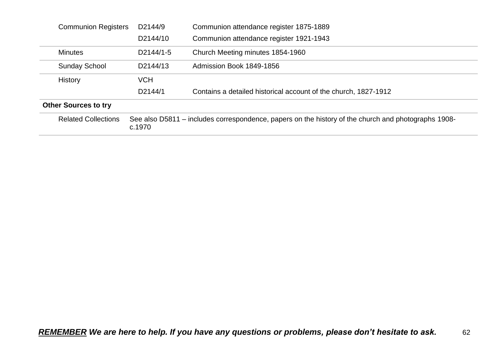| <b>Communion Registers</b>  | D2144/9                                                                                                       | Communion attendance register 1875-1889                         |  |
|-----------------------------|---------------------------------------------------------------------------------------------------------------|-----------------------------------------------------------------|--|
|                             | D2144/10                                                                                                      | Communion attendance register 1921-1943                         |  |
| <b>Minutes</b>              | D2144/1-5                                                                                                     | Church Meeting minutes 1854-1960                                |  |
| <b>Sunday School</b>        | D2144/13                                                                                                      | Admission Book 1849-1856                                        |  |
| History                     | <b>VCH</b>                                                                                                    |                                                                 |  |
|                             | D2144/1                                                                                                       | Contains a detailed historical account of the church, 1827-1912 |  |
| <b>Other Sources to try</b> |                                                                                                               |                                                                 |  |
| <b>Related Collections</b>  | See also D5811 – includes correspondence, papers on the history of the church and photographs 1908-<br>c.1970 |                                                                 |  |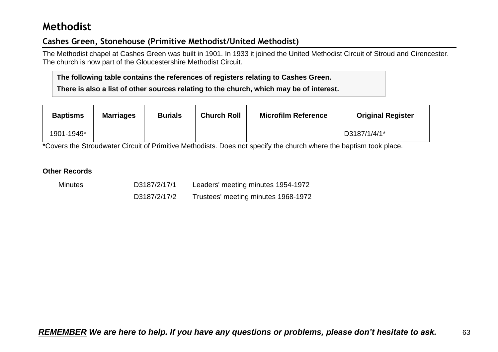## **Methodist**

## **Cashes Green, Stonehouse (Primitive Methodist/United Methodist)**

The Methodist chapel at Cashes Green was built in 1901. In 1933 it joined the United Methodist Circuit of Stroud and Cirencester. The church is now part of the Gloucestershire Methodist Circuit.

**The following table contains the references of registers relating to Cashes Green.**

**There is also a list of other sources relating to the church, which may be of interest.**

| <b>Baptisms</b> | <b>Marriages</b> | <b>Burials</b> | <b>Church Roll</b> | <b>Microfilm Reference</b> | <b>Original Register</b> |
|-----------------|------------------|----------------|--------------------|----------------------------|--------------------------|
| 1901-1949*      |                  |                |                    |                            | D3187/1/4/1*             |

\*Covers the Stroudwater Circuit of Primitive Methodists. Does not specify the church where the baptism took place.

| <b>Minutes</b> | D3187/2/17/1 | Leaders' meeting minutes 1954-1972  |  |
|----------------|--------------|-------------------------------------|--|
|                | D3187/2/17/2 | Trustees' meeting minutes 1968-1972 |  |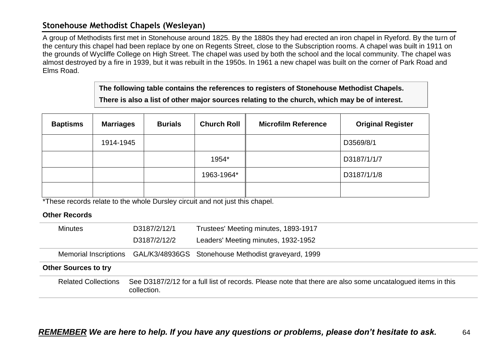### **Stonehouse Methodist Chapels (Wesleyan)**

A group of Methodists first met in Stonehouse around 1825. By the 1880s they had erected an iron chapel in Ryeford. By the turn of the century this chapel had been replace by one on Regents Street, close to the Subscription rooms. A chapel was built in 1911 on the grounds of Wycliffe College on High Street. The chapel was used by both the school and the local community. The chapel was almost destroyed by a fire in 1939, but it was rebuilt in the 1950s. In 1961 a new chapel was built on the corner of Park Road and Elms Road.

> **The following table contains the references to registers of Stonehouse Methodist Chapels. There is also a list of other major sources relating to the church, which may be of interest.**

| <b>Baptisms</b> | <b>Marriages</b> | <b>Burials</b> | <b>Church Roll</b> | <b>Microfilm Reference</b> | <b>Original Register</b> |
|-----------------|------------------|----------------|--------------------|----------------------------|--------------------------|
|                 | 1914-1945        |                |                    |                            | D3569/8/1                |
|                 |                  |                | 1954*              |                            | D3187/1/1/7              |
|                 |                  |                | 1963-1964*         |                            | D3187/1/1/8              |
|                 |                  |                |                    |                            |                          |

\*These records relate to the whole Dursley circuit and not just this chapel.

| D3187/2/12/1<br><b>Minutes</b> |                                                                                                                           | Trustees' Meeting minutes, 1893-1917                                      |  |  |  |  |
|--------------------------------|---------------------------------------------------------------------------------------------------------------------------|---------------------------------------------------------------------------|--|--|--|--|
|                                | D3187/2/12/2                                                                                                              | Leaders' Meeting minutes, 1932-1952                                       |  |  |  |  |
|                                |                                                                                                                           | Memorial Inscriptions GAL/K3/48936GS Stonehouse Methodist graveyard, 1999 |  |  |  |  |
| <b>Other Sources to try</b>    |                                                                                                                           |                                                                           |  |  |  |  |
| <b>Related Collections</b>     | See D3187/2/12 for a full list of records. Please note that there are also some uncatalogued items in this<br>collection. |                                                                           |  |  |  |  |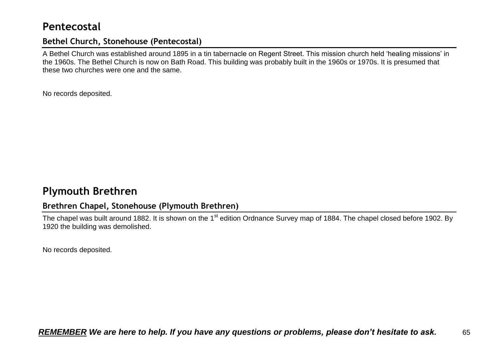## **Pentecostal**

### **Bethel Church, Stonehouse (Pentecostal)**

A Bethel Church was established around 1895 in a tin tabernacle on Regent Street. This mission church held 'healing missions' in the 1960s. The Bethel Church is now on Bath Road. This building was probably built in the 1960s or 1970s. It is presumed that these two churches were one and the same.

No records deposited.

## **Plymouth Brethren**

## **Brethren Chapel, Stonehouse (Plymouth Brethren)**

The chapel was built around 1882. It is shown on the 1<sup>st</sup> edition Ordnance Survey map of 1884. The chapel closed before 1902. By 1920 the building was demolished.

No records deposited.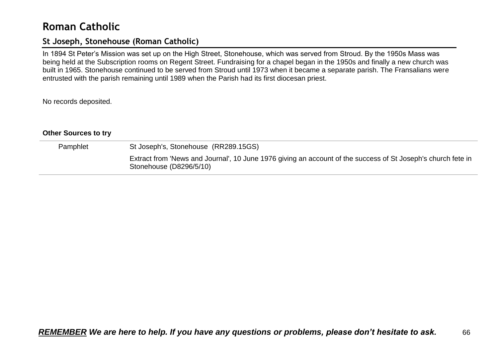## **Roman Catholic**

### **St Joseph, Stonehouse (Roman Catholic)**

In 1894 St Peter's Mission was set up on the High Street, Stonehouse, which was served from Stroud. By the 1950s Mass was being held at the Subscription rooms on Regent Street. Fundraising for a chapel began in the 1950s and finally a new church was built in 1965. Stonehouse continued to be served from Stroud until 1973 when it became a separate parish. The Fransalians were entrusted with the parish remaining until 1989 when the Parish had its first diocesan priest.

No records deposited.

#### **Other Sources to try**

| Pamphlet | St Joseph's, Stonehouse (RR289.15GS)                                                                                                    |
|----------|-----------------------------------------------------------------------------------------------------------------------------------------|
|          | Extract from 'News and Journal', 10 June 1976 giving an account of the success of St Joseph's church fete in<br>Stonehouse (D8296/5/10) |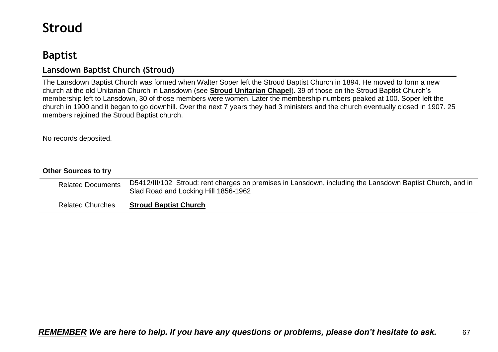# **Stroud**

## **Baptist**

## **Lansdown Baptist Church (Stroud)**

The Lansdown Baptist Church was formed when Walter Soper left the Stroud Baptist Church in 1894. He moved to form a new church at the old Unitarian Church in Lansdown (see **Stroud Unitarian Chapel**). 39 of those on the Stroud Baptist Church's membership left to Lansdown, 30 of those members were women. Later the membership numbers peaked at 100. Soper left the church in 1900 and it began to go downhill. Over the next 7 years they had 3 ministers and the church eventually closed in 1907. 25 members rejoined the Stroud Baptist church.

No records deposited.

### **Other Sources to try**

| <b>Related Documents</b> | D5412/III/102 Stroud: rent charges on premises in Lansdown, including the Lansdown Baptist Church, and in<br>Slad Road and Locking Hill 1856-1962 |
|--------------------------|---------------------------------------------------------------------------------------------------------------------------------------------------|
| <b>Related Churches</b>  | <b>Stroud Baptist Church</b>                                                                                                                      |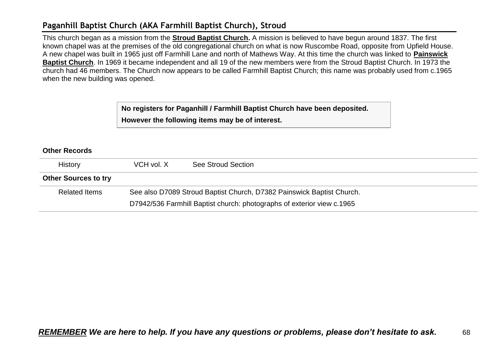## **Paganhill Baptist Church (AKA Farmhill Baptist Church), Stroud**

This church began as a mission from the **Stroud Baptist Church.** A mission is believed to have begun around 1837. The first known chapel was at the premises of the old congregational church on what is now Ruscombe Road, opposite from Upfield House. A new chapel was built in 1965 just off Farmhill Lane and north of Mathews Way. At this time the church was linked to **Painswick Baptist Church**. In 1969 it became independent and all 19 of the new members were from the Stroud Baptist Church. In 1973 the church had 46 members. The Church now appears to be called Farmhill Baptist Church; this name was probably used from c.1965 when the new building was opened.

> **No registers for Paganhill / Farmhill Baptist Church have been deposited. However the following items may be of interest.**

| History                     | VCH vol. X                                                            | See Stroud Section                                                     |
|-----------------------------|-----------------------------------------------------------------------|------------------------------------------------------------------------|
| <b>Other Sources to try</b> |                                                                       |                                                                        |
| <b>Related Items</b>        | See also D7089 Stroud Baptist Church, D7382 Painswick Baptist Church. |                                                                        |
|                             |                                                                       | D7942/536 Farmhill Baptist church: photographs of exterior view c.1965 |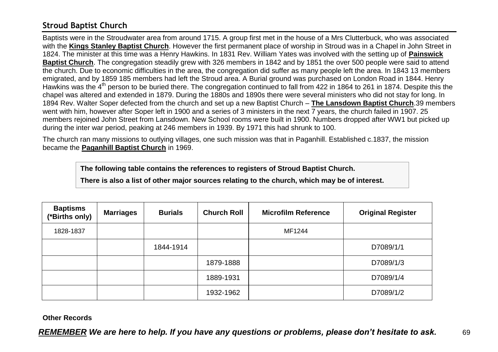## **Stroud Baptist Church**

Baptists were in the Stroudwater area from around 1715. A group first met in the house of a Mrs Clutterbuck, who was associated with the **Kings Stanley Baptist Church**. However the first permanent place of worship in Stroud was in a Chapel in John Street in 1824. The minister at this time was a Henry Hawkins. In 1831 Rev. William Yates was involved with the setting up of **Painswick Baptist Church**. The congregation steadily grew with 326 members in 1842 and by 1851 the over 500 people were said to attend the church. Due to economic difficulties in the area, the congregation did suffer as many people left the area. In 1843 13 members emigrated, and by 1859 185 members had left the Stroud area. A Burial ground was purchased on London Road in 1844. Henry Hawkins was the 4<sup>th</sup> person to be buried there. The congregation continued to fall from 422 in 1864 to 261 in 1874. Despite this the chapel was altered and extended in 1879. During the 1880s and 1890s there were several ministers who did not stay for long. In 1894 Rev. Walter Soper defected from the church and set up a new Baptist Church – **The Lansdown Baptist Church**.39 members went with him, however after Soper left in 1900 and a series of 3 ministers in the next 7 years, the church failed in 1907. 25 members rejoined John Street from Lansdown. New School rooms were built in 1900. Numbers dropped after WW1 but picked up during the inter war period, peaking at 246 members in 1939. By 1971 this had shrunk to 100.

The church ran many missions to outlying villages, one such mission was that in Paganhill. Established c.1837, the mission became the **Paganhill Baptist Church** in 1969.

**The following table contains the references to registers of Stroud Baptist Church.**

**There is also a list of other major sources relating to the church, which may be of interest.**

| <b>Baptisms</b><br>(*Births only) | <b>Marriages</b> | <b>Burials</b> | <b>Church Roll</b> | <b>Microfilm Reference</b> | <b>Original Register</b> |
|-----------------------------------|------------------|----------------|--------------------|----------------------------|--------------------------|
| 1828-1837                         |                  |                |                    | MF1244                     |                          |
|                                   |                  | 1844-1914      |                    |                            | D7089/1/1                |
|                                   |                  |                | 1879-1888          |                            | D7089/1/3                |
|                                   |                  |                | 1889-1931          |                            | D7089/1/4                |
|                                   |                  |                | 1932-1962          |                            | D7089/1/2                |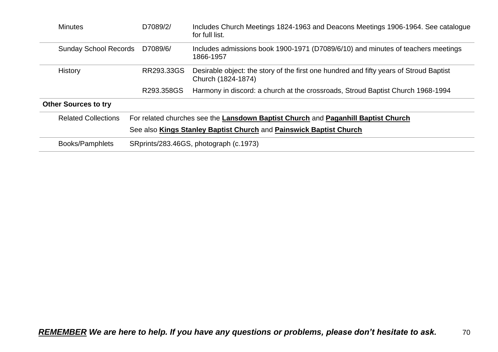| <b>Minutes</b>                           | D7089/2/                                                                          | Includes Church Meetings 1824-1963 and Deacons Meetings 1906-1964. See catalogue<br>for full list.           |  |  |  |
|------------------------------------------|-----------------------------------------------------------------------------------|--------------------------------------------------------------------------------------------------------------|--|--|--|
| <b>Sunday School Records</b><br>D7089/6/ |                                                                                   | Includes admissions book 1900-1971 (D7089/6/10) and minutes of teachers meetings<br>1866-1957                |  |  |  |
| RR293.33GS<br><b>History</b>             |                                                                                   | Desirable object: the story of the first one hundred and fifty years of Stroud Baptist<br>Church (1824-1874) |  |  |  |
|                                          | R293.358GS                                                                        | Harmony in discord: a church at the crossroads, Stroud Baptist Church 1968-1994                              |  |  |  |
| <b>Other Sources to try</b>              |                                                                                   |                                                                                                              |  |  |  |
| <b>Related Collections</b>               | For related churches see the Lansdown Baptist Church and Paganhill Baptist Church |                                                                                                              |  |  |  |
|                                          | See also Kings Stanley Baptist Church and Painswick Baptist Church                |                                                                                                              |  |  |  |
| Books/Pamphlets                          | SRprints/283.46GS, photograph (c.1973)                                            |                                                                                                              |  |  |  |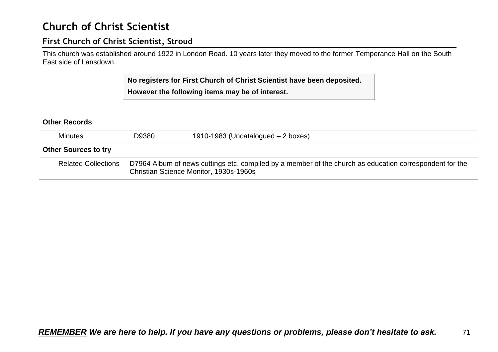## **Church of Christ Scientist**

### **First Church of Christ Scientist, Stroud**

This church was established around 1922 in London Road. 10 years later they moved to the former Temperance Hall on the South East side of Lansdown.

> **No registers for First Church of Christ Scientist have been deposited. However the following items may be of interest.**

| <b>Minutes</b>              | D9380                                                                                                                                             | 1910-1983 (Uncatalogued $-2$ boxes) |  |  |
|-----------------------------|---------------------------------------------------------------------------------------------------------------------------------------------------|-------------------------------------|--|--|
| <b>Other Sources to try</b> |                                                                                                                                                   |                                     |  |  |
| <b>Related Collections</b>  | D7964 Album of news cuttings etc, compiled by a member of the church as education correspondent for the<br>Christian Science Monitor, 1930s-1960s |                                     |  |  |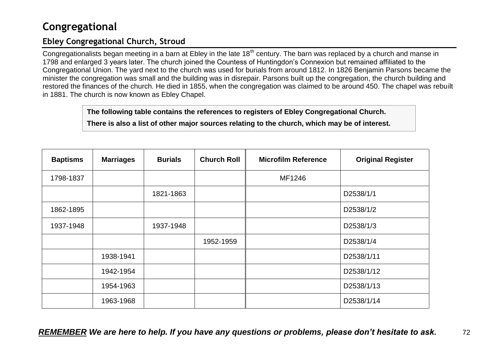## **Congregational**

## **Ebley Congregational Church, Stroud**

Congregationalists began meeting in a barn at Ebley in the late 18<sup>th</sup> century. The barn was replaced by a church and manse in 1798 and enlarged 3 years later. The church joined the Countess of Huntingdon's Connexion but remained affiliated to the Congregational Union. The yard next to the church was used for burials from around 1812. In 1826 Benjamin Parsons became the minister the congregation was small and the building was in disrepair. Parsons built up the congregation, the church building and restored the finances of the church. He died in 1855, when the congregation was claimed to be around 450. The chapel was rebuilt in 1881. The church is now known as Ebley Chapel.

**The following table contains the references to registers of Ebley Congregational Church.**

**There is also a list of other major sources relating to the church, which may be of interest.**

| <b>Baptisms</b> | <b>Marriages</b> | <b>Burials</b> | <b>Church Roll</b> | <b>Microfilm Reference</b> | <b>Original Register</b> |
|-----------------|------------------|----------------|--------------------|----------------------------|--------------------------|
| 1798-1837       |                  |                |                    | MF1246                     |                          |
|                 |                  | 1821-1863      |                    |                            | D2538/1/1                |
| 1862-1895       |                  |                |                    |                            | D2538/1/2                |
| 1937-1948       |                  | 1937-1948      |                    |                            | D2538/1/3                |
|                 |                  |                | 1952-1959          |                            | D2538/1/4                |
|                 | 1938-1941        |                |                    |                            | D2538/1/11               |
|                 | 1942-1954        |                |                    |                            | D2538/1/12               |
|                 | 1954-1963        |                |                    |                            | D2538/1/13               |
|                 | 1963-1968        |                |                    |                            | D2538/1/14               |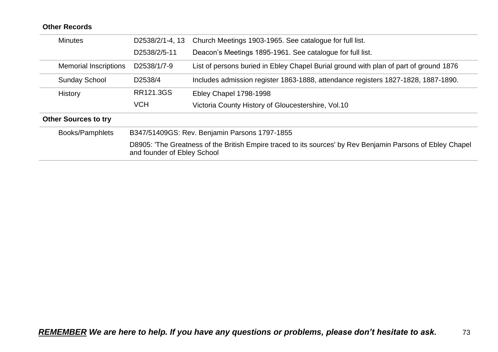| <b>Minutes</b>               | D2538/2/1-4, 13             | Church Meetings 1903-1965. See catalogue for full list.                                                    |
|------------------------------|-----------------------------|------------------------------------------------------------------------------------------------------------|
|                              | D2538/2/5-11                | Deacon's Meetings 1895-1961. See catalogue for full list.                                                  |
| <b>Memorial Inscriptions</b> | D2538/1/7-9                 | List of persons buried in Ebley Chapel Burial ground with plan of part of ground 1876                      |
| <b>Sunday School</b>         | D2538/4                     | Includes admission register 1863-1888, attendance registers 1827-1828, 1887-1890.                          |
| History                      | RR121.3GS                   | Ebley Chapel 1798-1998                                                                                     |
|                              | <b>VCH</b>                  | Victoria County History of Gloucestershire, Vol.10                                                         |
| <b>Other Sources to try</b>  |                             |                                                                                                            |
| Books/Pamphlets              |                             | B347/51409GS: Rev. Benjamin Parsons 1797-1855                                                              |
|                              | and founder of Ebley School | D8905: 'The Greatness of the British Empire traced to its sources' by Rev Benjamin Parsons of Ebley Chapel |
|                              |                             |                                                                                                            |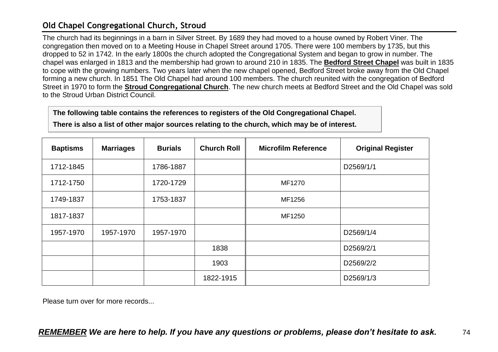## **Old Chapel Congregational Church, Stroud**

The church had its beginnings in a barn in Silver Street. By 1689 they had moved to a house owned by Robert Viner. The congregation then moved on to a Meeting House in Chapel Street around 1705. There were 100 members by 1735, but this dropped to 52 in 1742. In the early 1800s the church adopted the Congregational System and began to grow in number. The chapel was enlarged in 1813 and the membership had grown to around 210 in 1835. The **Bedford Street Chapel** was built in 1835 to cope with the growing numbers. Two years later when the new chapel opened, Bedford Street broke away from the Old Chapel forming a new church. In 1851 The Old Chapel had around 100 members. The church reunited with the congregation of Bedford Street in 1970 to form the **Stroud Congregational Church**. The new church meets at Bedford Street and the Old Chapel was sold to the Stroud Urban District Council.

**The following table contains the references to registers of the Old Congregational Chapel.**

**There is also a list of other major sources relating to the church, which may be of interest.**

| <b>Baptisms</b> | <b>Marriages</b> | <b>Burials</b> | <b>Church Roll</b> | <b>Microfilm Reference</b> | <b>Original Register</b> |
|-----------------|------------------|----------------|--------------------|----------------------------|--------------------------|
| 1712-1845       |                  | 1786-1887      |                    |                            | D2569/1/1                |
| 1712-1750       |                  | 1720-1729      |                    | MF1270                     |                          |
| 1749-1837       |                  | 1753-1837      |                    | MF1256                     |                          |
| 1817-1837       |                  |                |                    | MF1250                     |                          |
| 1957-1970       | 1957-1970        | 1957-1970      |                    |                            | D2569/1/4                |
|                 |                  |                | 1838               |                            | D2569/2/1                |
|                 |                  |                | 1903               |                            | D2569/2/2                |
|                 |                  |                | 1822-1915          |                            | D2569/1/3                |

Please turn over for more records...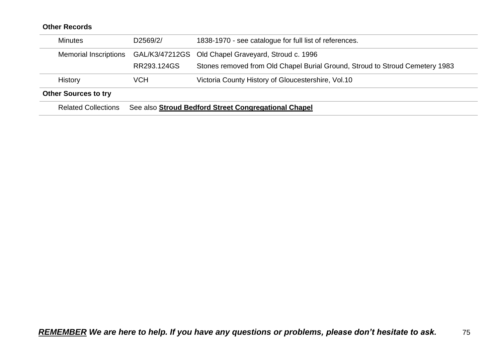| <b>Related Collections</b>   |             | See also Stroud Bedford Street Congregational Chapel                         |
|------------------------------|-------------|------------------------------------------------------------------------------|
| <b>Other Sources to try</b>  |             |                                                                              |
| <b>History</b>               | VCH         | Victoria County History of Gloucestershire, Vol.10                           |
|                              | RR293.124GS | Stones removed from Old Chapel Burial Ground, Stroud to Stroud Cemetery 1983 |
| <b>Memorial Inscriptions</b> |             | GAL/K3/47212GS Old Chapel Graveyard, Stroud c. 1996                          |
| <b>Minutes</b>               | D2569/2/    | 1838-1970 - see catalogue for full list of references.                       |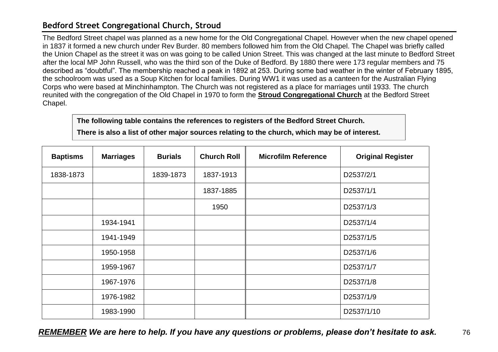## **Bedford Street Congregational Church, Stroud**

The Bedford Street chapel was planned as a new home for the Old Congregational Chapel. However when the new chapel opened in 1837 it formed a new church under Rev Burder. 80 members followed him from the Old Chapel. The Chapel was briefly called the Union Chapel as the street it was on was going to be called Union Street. This was changed at the last minute to Bedford Street after the local MP John Russell, who was the third son of the Duke of Bedford. By 1880 there were 173 regular members and 75 described as "doubtful". The membership reached a peak in 1892 at 253. During some bad weather in the winter of February 1895, the schoolroom was used as a Soup Kitchen for local families. During WW1 it was used as a canteen for the Australian Flying Corps who were based at Minchinhampton. The Church was not registered as a place for marriages until 1933. The church reunited with the congregation of the Old Chapel in 1970 to form the **Stroud Congregational Church** at the Bedford Street Chapel.

**The following table contains the references to registers of the Bedford Street Church.**

**There is also a list of other major sources relating to the church, which may be of interest.**

| <b>Baptisms</b> | <b>Marriages</b> | <b>Burials</b> | <b>Church Roll</b> | <b>Microfilm Reference</b> | <b>Original Register</b> |
|-----------------|------------------|----------------|--------------------|----------------------------|--------------------------|
| 1838-1873       |                  | 1839-1873      | 1837-1913          |                            | D2537/2/1                |
|                 |                  |                | 1837-1885          |                            | D2537/1/1                |
|                 |                  |                | 1950               |                            | D2537/1/3                |
|                 | 1934-1941        |                |                    |                            | D2537/1/4                |
|                 | 1941-1949        |                |                    |                            | D2537/1/5                |
|                 | 1950-1958        |                |                    |                            | D2537/1/6                |
|                 | 1959-1967        |                |                    |                            | D2537/1/7                |
|                 | 1967-1976        |                |                    |                            | D2537/1/8                |
|                 | 1976-1982        |                |                    |                            | D2537/1/9                |
|                 | 1983-1990        |                |                    |                            | D2537/1/10               |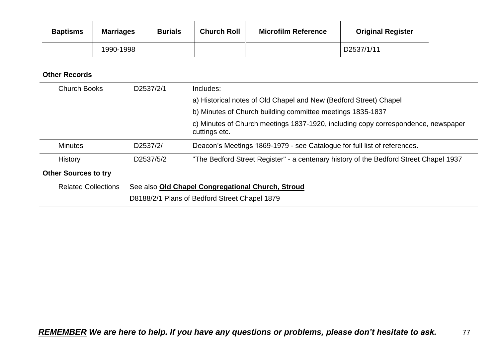| <b>Baptisms</b> | <b>Marriages</b> | <b>Burials</b> | <b>Church Roll</b> | <b>Microfilm Reference</b> | <b>Original Register</b> |
|-----------------|------------------|----------------|--------------------|----------------------------|--------------------------|
|                 | 1990-1998        |                |                    |                            | D2537/1/11               |

| <b>Church Books</b>         | D2537/2/1 | Includes:                                                                                          |
|-----------------------------|-----------|----------------------------------------------------------------------------------------------------|
|                             |           | a) Historical notes of Old Chapel and New (Bedford Street) Chapel                                  |
|                             |           | b) Minutes of Church building committee meetings 1835-1837                                         |
|                             |           | c) Minutes of Church meetings 1837-1920, including copy correspondence, newspaper<br>cuttings etc. |
| <b>Minutes</b>              | D2537/2/  | Deacon's Meetings 1869-1979 - see Catalogue for full list of references.                           |
| History                     | D2537/5/2 | "The Bedford Street Register" - a centenary history of the Bedford Street Chapel 1937              |
| <b>Other Sources to try</b> |           |                                                                                                    |
| <b>Related Collections</b>  |           | See also Old Chapel Congregational Church, Stroud                                                  |
|                             |           | D8188/2/1 Plans of Bedford Street Chapel 1879                                                      |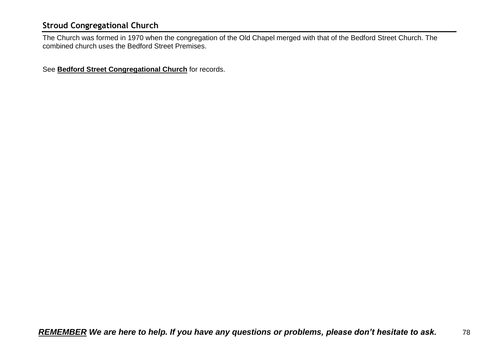## **Stroud Congregational Church**

The Church was formed in 1970 when the congregation of the Old Chapel merged with that of the Bedford Street Church. The combined church uses the Bedford Street Premises.

See **Bedford Street Congregational Church** for records.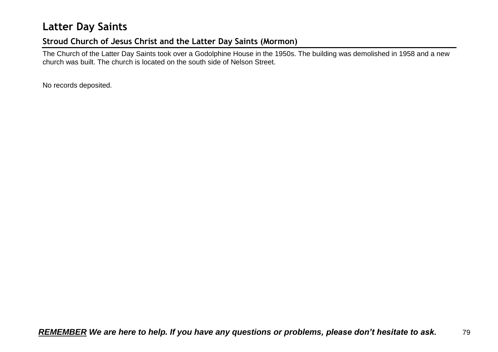## **Latter Day Saints**

## **Stroud Church of Jesus Christ and the Latter Day Saints (Mormon)**

The Church of the Latter Day Saints took over a Godolphine House in the 1950s. The building was demolished in 1958 and a new church was built. The church is located on the south side of Nelson Street.

No records deposited.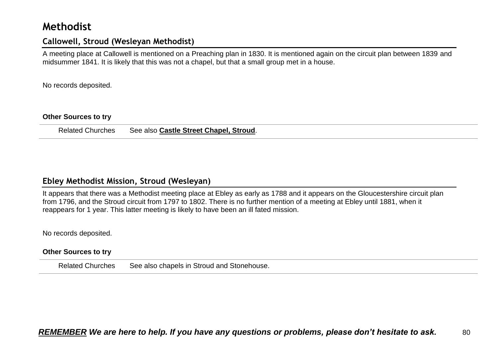## **Methodist**

### **Callowell, Stroud (Wesleyan Methodist)**

A meeting place at Callowell is mentioned on a Preaching plan in 1830. It is mentioned again on the circuit plan between 1839 and midsummer 1841. It is likely that this was not a chapel, but that a small group met in a house.

No records deposited.

#### **Other Sources to try**

Related Churches See also **Castle Street Chapel, Stroud**.

### **Ebley Methodist Mission, Stroud (Wesleyan)**

It appears that there was a Methodist meeting place at Ebley as early as 1788 and it appears on the Gloucestershire circuit plan from 1796, and the Stroud circuit from 1797 to 1802. There is no further mention of a meeting at Ebley until 1881, when it reappears for 1 year. This latter meeting is likely to have been an ill fated mission.

No records deposited.

#### **Other Sources to try**

Related Churches See also chapels in Stroud and Stonehouse.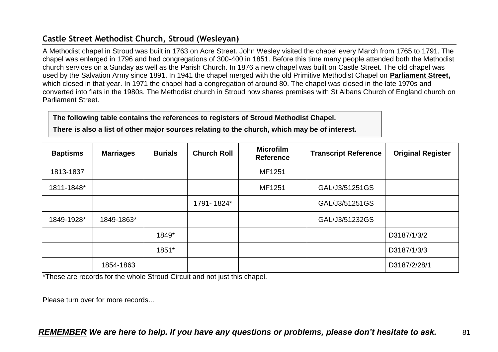## **Castle Street Methodist Church, Stroud (Wesleyan)**

A Methodist chapel in Stroud was built in 1763 on Acre Street. John Wesley visited the chapel every March from 1765 to 1791. The chapel was enlarged in 1796 and had congregations of 300-400 in 1851. Before this time many people attended both the Methodist church services on a Sunday as well as the Parish Church. In 1876 a new chapel was built on Castle Street. The old chapel was used by the Salvation Army since 1891. In 1941 the chapel merged with the old Primitive Methodist Chapel on **Parliament Street,**  which closed in that year. In 1971 the chapel had a congregation of around 80. The chapel was closed in the late 1970s and converted into flats in the 1980s. The Methodist church in Stroud now shares premises with St Albans Church of England church on Parliament Street.

#### **The following table contains the references to registers of Stroud Methodist Chapel.**

**There is also a list of other major sources relating to the church, which may be of interest.**

| <b>Baptisms</b> | <b>Marriages</b> | <b>Burials</b> | <b>Church Roll</b> | <b>Microfilm</b><br><b>Reference</b> | <b>Transcript Reference</b> | <b>Original Register</b> |
|-----------------|------------------|----------------|--------------------|--------------------------------------|-----------------------------|--------------------------|
| 1813-1837       |                  |                |                    | MF1251                               |                             |                          |
| 1811-1848*      |                  |                |                    | MF1251                               | GAL/J3/51251GS              |                          |
|                 |                  |                | 1791-1824*         |                                      | GAL/J3/51251GS              |                          |
| 1849-1928*      | 1849-1863*       |                |                    |                                      | GAL/J3/51232GS              |                          |
|                 |                  | 1849*          |                    |                                      |                             | D3187/1/3/2              |
|                 |                  | 1851*          |                    |                                      |                             | D3187/1/3/3              |
|                 | 1854-1863        |                |                    |                                      |                             | D3187/2/28/1             |

\*These are records for the whole Stroud Circuit and not just this chapel.

Please turn over for more records...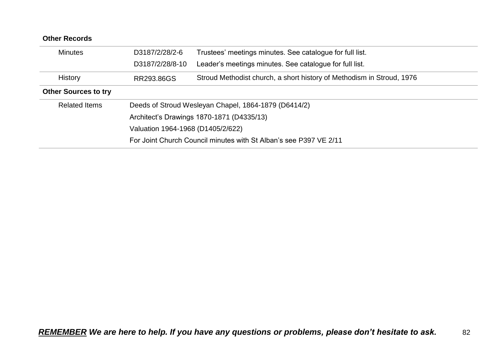| <b>Other Records</b>        |                                   |                                                                       |
|-----------------------------|-----------------------------------|-----------------------------------------------------------------------|
| <b>Minutes</b>              | D3187/2/28/2-6                    | Trustees' meetings minutes. See catalogue for full list.              |
|                             | D3187/2/28/8-10                   | Leader's meetings minutes. See catalogue for full list.               |
| <b>History</b>              | RR293,86GS                        | Stroud Methodist church, a short history of Methodism in Stroud, 1976 |
| <b>Other Sources to try</b> |                                   |                                                                       |
| <b>Related Items</b>        |                                   | Deeds of Stroud Wesleyan Chapel, 1864-1879 (D6414/2)                  |
|                             |                                   | Architect's Drawings 1870-1871 (D4335/13)                             |
|                             | Valuation 1964-1968 (D1405/2/622) |                                                                       |
|                             |                                   | For Joint Church Council minutes with St Alban's see P397 VE 2/11     |
|                             |                                   |                                                                       |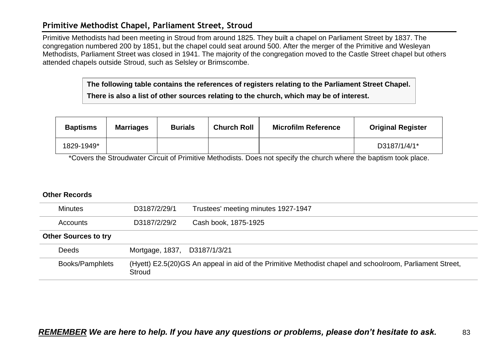### **Primitive Methodist Chapel, Parliament Street, Stroud**

Primitive Methodists had been meeting in Stroud from around 1825. They built a chapel on Parliament Street by 1837. The congregation numbered 200 by 1851, but the chapel could seat around 500. After the merger of the Primitive and Wesleyan Methodists, Parliament Street was closed in 1941. The majority of the congregation moved to the Castle Street chapel but others attended chapels outside Stroud, such as Selsley or Brimscombe.

> **The following table contains the references of registers relating to the Parliament Street Chapel. There is also a list of other sources relating to the church, which may be of interest.**

| <b>Baptisms</b> | <b>Marriages</b> | <b>Burials</b> | <b>Church Roll</b> | <b>Microfilm Reference</b> | <b>Original Register</b> |
|-----------------|------------------|----------------|--------------------|----------------------------|--------------------------|
| 1829-1949*      |                  |                |                    |                            | D3187/1/4/1*             |

\*Covers the Stroudwater Circuit of Primitive Methodists. Does not specify the church where the baptism took place.

| <b>Minutes</b>              | D3187/2/29/1                 | Trustees' meeting minutes 1927-1947                                                                      |
|-----------------------------|------------------------------|----------------------------------------------------------------------------------------------------------|
| Accounts                    | D3187/2/29/2                 | Cash book, 1875-1925                                                                                     |
| <b>Other Sources to try</b> |                              |                                                                                                          |
| <b>Deeds</b>                | Mortgage, 1837, D3187/1/3/21 |                                                                                                          |
| <b>Books/Pamphlets</b>      | Stroud                       | (Hyett) E2.5(20)GS An appeal in aid of the Primitive Methodist chapel and schoolroom, Parliament Street, |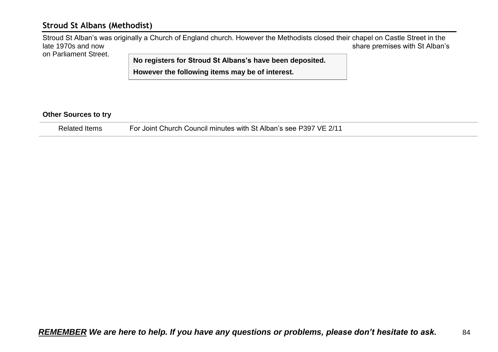### **Stroud St Albans (Methodist)**

Stroud St Alban's was originally a Church of England church. However the Methodists closed their chapel on Castle Street in the<br>Share premises with St Alban's share premises with St Alban's on Parliament Street.

**No registers for Stroud St Albans's have been deposited. However the following items may be of interest.**

#### **Other Sources to try**

Related Items For Joint Church Council minutes with St Alban's see P397 VE 2/11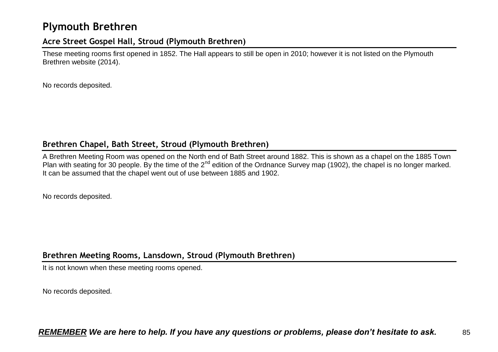## **Plymouth Brethren**

### **Acre Street Gospel Hall, Stroud (Plymouth Brethren)**

These meeting rooms first opened in 1852. The Hall appears to still be open in 2010; however it is not listed on the Plymouth Brethren website (2014).

No records deposited.

### **Brethren Chapel, Bath Street, Stroud (Plymouth Brethren)**

A Brethren Meeting Room was opened on the North end of Bath Street around 1882. This is shown as a chapel on the 1885 Town Plan with seating for 30 people. By the time of the  $2^{nd}$  edition of the Ordnance Survey map (1902), the chapel is no longer marked. It can be assumed that the chapel went out of use between 1885 and 1902.

No records deposited.

## **Brethren Meeting Rooms, Lansdown, Stroud (Plymouth Brethren)**

It is not known when these meeting rooms opened.

No records deposited.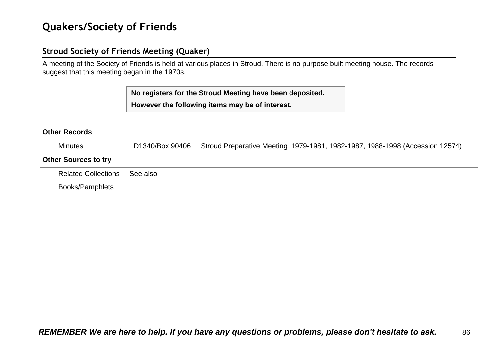## **Quakers/Society of Friends**

## **Stroud Society of Friends Meeting (Quaker)**

A meeting of the Society of Friends is held at various places in Stroud. There is no purpose built meeting house. The records suggest that this meeting began in the 1970s.

> **No registers for the Stroud Meeting have been deposited. However the following items may be of interest.**

| <b>Minutes</b>              | D1340/Box 90406 | Stroud Preparative Meeting 1979-1981, 1982-1987, 1988-1998 (Accession 12574) |
|-----------------------------|-----------------|------------------------------------------------------------------------------|
| <b>Other Sources to try</b> |                 |                                                                              |
| <b>Related Collections</b>  | See also        |                                                                              |
| <b>Books/Pamphlets</b>      |                 |                                                                              |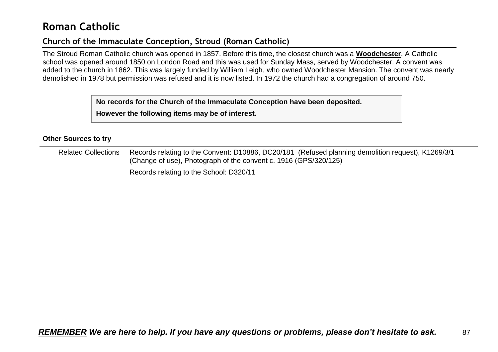## **Roman Catholic**

## **Church of the Immaculate Conception, Stroud (Roman Catholic)**

The Stroud Roman Catholic church was opened in 1857. Before this time, the closest church was a **Woodchester**. A Catholic school was opened around 1850 on London Road and this was used for Sunday Mass, served by Woodchester. A convent was added to the church in 1862. This was largely funded by William Leigh, who owned Woodchester Mansion. The convent was nearly demolished in 1978 but permission was refused and it is now listed. In 1972 the church had a congregation of around 750.

**No records for the Church of the Immaculate Conception have been deposited.**

**However the following items may be of interest.**

#### **Other Sources to try**

| <b>Related Collections</b> | Records relating to the Convent: D10886, DC20/181 (Refused planning demolition request), K1269/3/1<br>(Change of use), Photograph of the convent c. 1916 (GPS/320/125) |
|----------------------------|------------------------------------------------------------------------------------------------------------------------------------------------------------------------|
|                            | Records relating to the School: D320/11                                                                                                                                |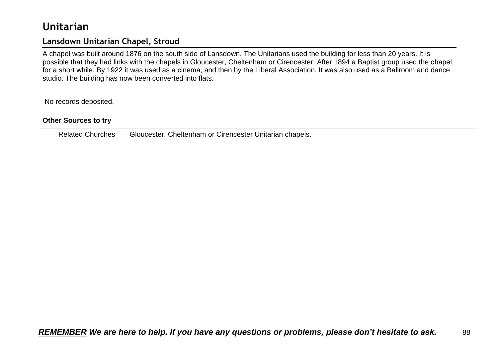## **Unitarian**

## **Lansdown Unitarian Chapel, Stroud**

A chapel was built around 1876 on the south side of Lansdown. The Unitarians used the building for less than 20 years. It is possible that they had links with the chapels in Gloucester, Cheltenham or Cirencester. After 1894 a Baptist group used the chapel for a short while. By 1922 it was used as a cinema, and then by the Liberal Association. It was also used as a Ballroom and dance studio. The building has now been converted into flats.

No records deposited.

#### **Other Sources to try**

Related Churches Gloucester, Cheltenham or Cirencester Unitarian chapels.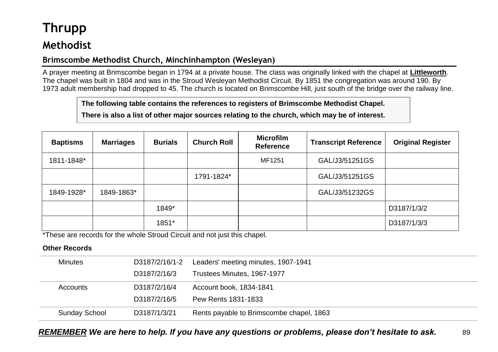# **Thrupp**

## **Methodist**

## **Brimscombe Methodist Church, Minchinhampton (Wesleyan)**

A prayer meeting at Brimscombe began in 1794 at a private house. The class was originally linked with the chapel at **Littleworth**. The chapel was built in 1804 and was in the Stroud Wesleyan Methodist Circuit. By 1851 the congregation was around 190. By 1973 adult membership had dropped to 45. The church is located on Brimscombe Hill, just south of the bridge over the railway line.

**The following table contains the references to registers of Brimscombe Methodist Chapel.**

**There is also a list of other major sources relating to the church, which may be of interest.**

| <b>Baptisms</b> | <b>Marriages</b> | <b>Burials</b> | <b>Church Roll</b> | <b>Microfilm</b><br>Reference | <b>Transcript Reference</b> | <b>Original Register</b> |
|-----------------|------------------|----------------|--------------------|-------------------------------|-----------------------------|--------------------------|
| 1811-1848*      |                  |                |                    | MF1251                        | GAL/J3/51251GS              |                          |
|                 |                  |                | 1791-1824*         |                               | GAL/J3/51251GS              |                          |
| 1849-1928*      | 1849-1863*       |                |                    |                               | GAL/J3/51232GS              |                          |
|                 |                  | 1849*          |                    |                               |                             | D3187/1/3/2              |
|                 |                  | 1851*          |                    |                               |                             | D3187/1/3/3              |

\*These are records for the whole Stroud Circuit and not just this chapel.

### **Other Records**

| <b>Minutes</b>       | D3187/2/16/1-2 | Leaders' meeting minutes, 1907-1941      |
|----------------------|----------------|------------------------------------------|
|                      | D3187/2/16/3   | Trustees Minutes, 1967-1977              |
| Accounts             | D3187/2/16/4   | Account book, 1834-1841                  |
|                      | D3187/2/16/5   | Pew Rents 1831-1833                      |
| <b>Sunday School</b> | D3187/1/3/21   | Rents payable to Brimscombe chapel, 1863 |

*REMEMBER We are here to help. If you have any questions or problems, please don't hesitate to ask.* 89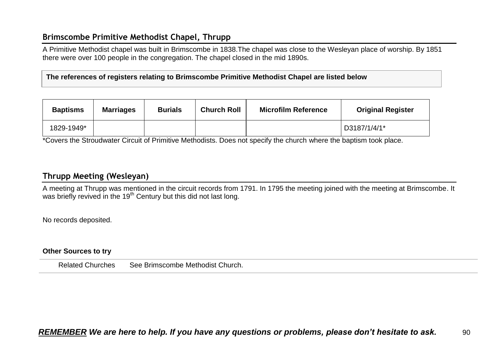## **Brimscombe Primitive Methodist Chapel, Thrupp**

A Primitive Methodist chapel was built in Brimscombe in 1838.The chapel was close to the Wesleyan place of worship. By 1851 there were over 100 people in the congregation. The chapel closed in the mid 1890s.

**The references of registers relating to Brimscombe Primitive Methodist Chapel are listed below**

| <b>Baptisms</b> | <b>Marriages</b> | <b>Burials</b> | <b>Church Roll</b> | <b>Microfilm Reference</b> | <b>Original Register</b> |
|-----------------|------------------|----------------|--------------------|----------------------------|--------------------------|
| 1829-1949*      |                  |                |                    |                            | D3187/1/4/1*             |

\*Covers the Stroudwater Circuit of Primitive Methodists. Does not specify the church where the baptism took place.

## **Thrupp Meeting (Wesleyan)**

A meeting at Thrupp was mentioned in the circuit records from 1791. In 1795 the meeting joined with the meeting at Brimscombe. It was briefly revived in the 19<sup>th</sup> Century but this did not last long.

No records deposited.

#### **Other Sources to try**

Related Churches See Brimscombe Methodist Church.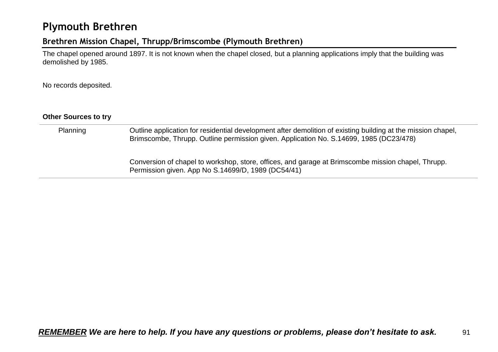## **Plymouth Brethren**

## **Brethren Mission Chapel, Thrupp/Brimscombe (Plymouth Brethren)**

The chapel opened around 1897. It is not known when the chapel closed, but a planning applications imply that the building was demolished by 1985.

No records deposited.

| <b>Other Sources to try</b> |                                                                                                                                                                                                        |
|-----------------------------|--------------------------------------------------------------------------------------------------------------------------------------------------------------------------------------------------------|
| Planning                    | Outline application for residential development after demolition of existing building at the mission chapel,<br>Brimscombe, Thrupp. Outline permission given. Application No. S.14699, 1985 (DC23/478) |
|                             | Conversion of chapel to workshop, store, offices, and garage at Brimscombe mission chapel, Thrupp.<br>Permission given. App No S.14699/D, 1989 (DC54/41)                                               |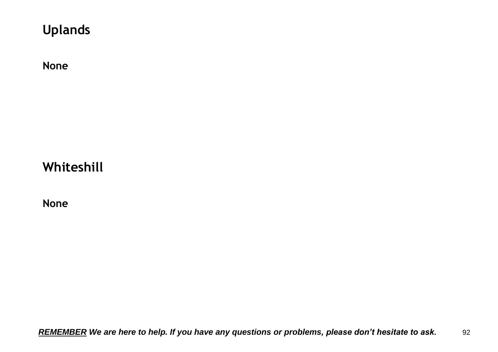# **Uplands**

**None**

# **Whiteshill**

**None**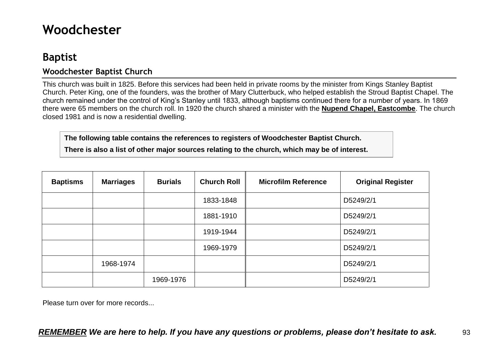# **Woodchester**

## **Baptist**

## **Woodchester Baptist Church**

This church was built in 1825. Before this services had been held in private rooms by the minister from Kings Stanley Baptist Church. Peter King, one of the founders, was the brother of Mary Clutterbuck, who helped establish the Stroud Baptist Chapel. The church remained under the control of King's Stanley until 1833, although baptisms continued there for a number of years. In 1869 there were 65 members on the church roll. In 1920 the church shared a minister with the **Nupend Chapel, Eastcombe**. The church closed 1981 and is now a residential dwelling.

**The following table contains the references to registers of Woodchester Baptist Church.**

**There is also a list of other major sources relating to the church, which may be of interest.**

| <b>Baptisms</b> | <b>Marriages</b> | <b>Burials</b> | <b>Church Roll</b> | <b>Microfilm Reference</b> | <b>Original Register</b> |
|-----------------|------------------|----------------|--------------------|----------------------------|--------------------------|
|                 |                  |                | 1833-1848          |                            | D5249/2/1                |
|                 |                  |                | 1881-1910          |                            | D5249/2/1                |
|                 |                  |                | 1919-1944          |                            | D5249/2/1                |
|                 |                  |                | 1969-1979          |                            | D5249/2/1                |
|                 | 1968-1974        |                |                    |                            | D5249/2/1                |
|                 |                  | 1969-1976      |                    |                            | D5249/2/1                |

Please turn over for more records...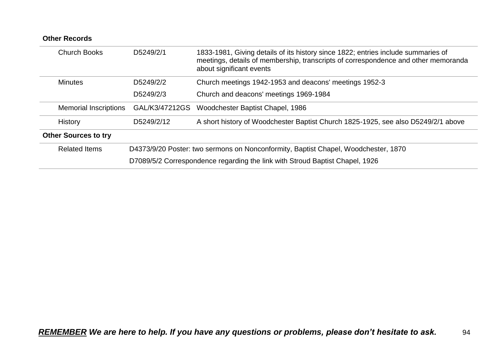| <b>Other Records</b>         |                                                                                    |                                                                                                                                                                                                     |  |  |
|------------------------------|------------------------------------------------------------------------------------|-----------------------------------------------------------------------------------------------------------------------------------------------------------------------------------------------------|--|--|
| <b>Church Books</b>          | D5249/2/1                                                                          | 1833-1981, Giving details of its history since 1822; entries include summaries of<br>meetings, details of membership, transcripts of correspondence and other memoranda<br>about significant events |  |  |
| <b>Minutes</b>               | D5249/2/2                                                                          | Church meetings 1942-1953 and deacons' meetings 1952-3                                                                                                                                              |  |  |
|                              | D5249/2/3                                                                          | Church and deacons' meetings 1969-1984                                                                                                                                                              |  |  |
| <b>Memorial Inscriptions</b> | GAL/K3/47212GS                                                                     | Woodchester Baptist Chapel, 1986                                                                                                                                                                    |  |  |
| <b>History</b>               | D5249/2/12                                                                         | A short history of Woodchester Baptist Church 1825-1925, see also D5249/2/1 above                                                                                                                   |  |  |
| <b>Other Sources to try</b>  |                                                                                    |                                                                                                                                                                                                     |  |  |
| <b>Related Items</b>         | D4373/9/20 Poster: two sermons on Nonconformity, Baptist Chapel, Woodchester, 1870 |                                                                                                                                                                                                     |  |  |
|                              |                                                                                    | D7089/5/2 Correspondence regarding the link with Stroud Baptist Chapel, 1926                                                                                                                        |  |  |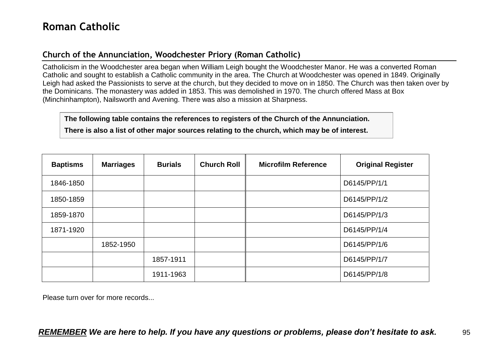## **Church of the Annunciation, Woodchester Priory (Roman Catholic)**

Catholicism in the Woodchester area began when William Leigh bought the Woodchester Manor. He was a converted Roman Catholic and sought to establish a Catholic community in the area. The Church at Woodchester was opened in 1849. Originally Leigh had asked the Passionists to serve at the church, but they decided to move on in 1850. The Church was then taken over by the Dominicans. The monastery was added in 1853. This was demolished in 1970. The church offered Mass at Box (Minchinhampton), Nailsworth and Avening. There was also a mission at Sharpness.

**The following table contains the references to registers of the Church of the Annunciation. There is also a list of other major sources relating to the church, which may be of interest.**

| <b>Baptisms</b> | <b>Marriages</b> | <b>Burials</b> | <b>Church Roll</b> | <b>Microfilm Reference</b> | <b>Original Register</b> |
|-----------------|------------------|----------------|--------------------|----------------------------|--------------------------|
| 1846-1850       |                  |                |                    |                            | D6145/PP/1/1             |
| 1850-1859       |                  |                |                    |                            | D6145/PP/1/2             |
| 1859-1870       |                  |                |                    |                            | D6145/PP/1/3             |
| 1871-1920       |                  |                |                    |                            | D6145/PP/1/4             |
|                 | 1852-1950        |                |                    |                            | D6145/PP/1/6             |
|                 |                  | 1857-1911      |                    |                            | D6145/PP/1/7             |
|                 |                  | 1911-1963      |                    |                            | D6145/PP/1/8             |

Please turn over for more records...